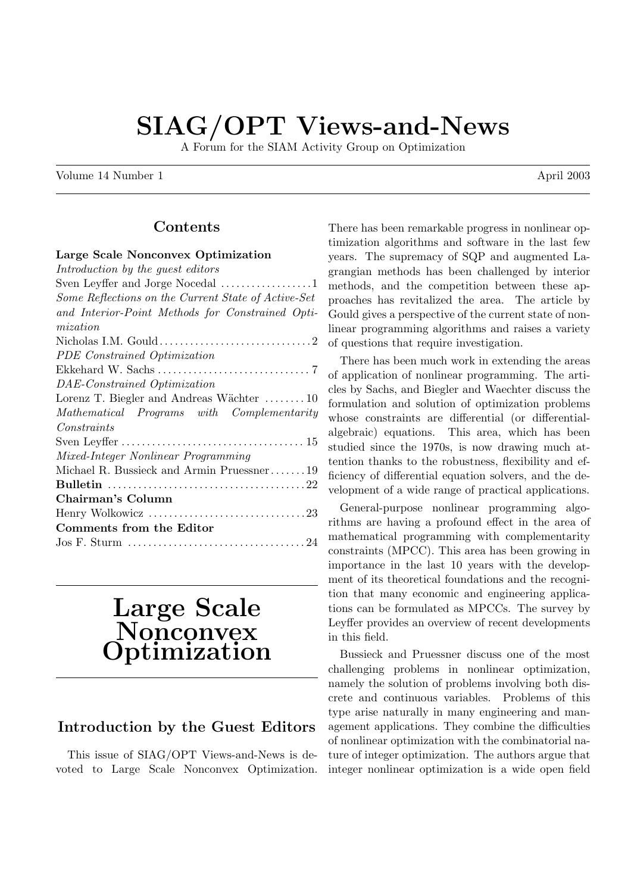# SIAG/OPT Views-and-News

A Forum for the SIAM Activity Group on Optimization

Volume 14 Number 1 April 2003

### Contents

#### Large Scale Nonconvex Optimization  $I \cup I \cup I \cup I \cup I$

| <i>Introduction by the quest eattors</i>            |
|-----------------------------------------------------|
| Sven Leyffer and Jorge Nocedal 1                    |
| Some Reflections on the Current State of Active-Set |
| and Interior-Point Methods for Constrained Opti-    |
| mization                                            |
|                                                     |
| PDE Constrained Optimization                        |
|                                                     |
| DAE-Constrained Optimization                        |
| Lorenz T. Biegler and Andreas Wächter 10            |
| Mathematical Programs with Complementarity          |
| Constraints                                         |
|                                                     |
| Mixed-Integer Nonlinear Programming                 |
| Michael R. Bussieck and Armin Pruessner19           |
|                                                     |
| Chairman's Column                                   |
|                                                     |
| Comments from the Editor                            |
|                                                     |
|                                                     |

# Large Scale Nonconvex **Optimization**

### Introduction by the Guest Editors

This issue of SIAG/OPT Views-and-News is devoted to Large Scale Nonconvex Optimization. There has been remarkable progress in nonlinear optimization algorithms and software in the last few years. The supremacy of SQP and augmented Lagrangian methods has been challenged by interior methods, and the competition between these approaches has revitalized the area. The article by Gould gives a perspective of the current state of nonlinear programming algorithms and raises a variety of questions that require investigation.

There has been much work in extending the areas of application of nonlinear programming. The articles by Sachs, and Biegler and Waechter discuss the formulation and solution of optimization problems whose constraints are differential (or differentialalgebraic) equations. This area, which has been studied since the 1970s, is now drawing much attention thanks to the robustness, flexibility and efficiency of differential equation solvers, and the development of a wide range of practical applications.

General-purpose nonlinear programming algorithms are having a profound effect in the area of mathematical programming with complementarity constraints (MPCC). This area has been growing in importance in the last 10 years with the development of its theoretical foundations and the recognition that many economic and engineering applications can be formulated as MPCCs. The survey by Leyffer provides an overview of recent developments in this field.

Bussieck and Pruessner discuss one of the most challenging problems in nonlinear optimization, namely the solution of problems involving both discrete and continuous variables. Problems of this type arise naturally in many engineering and management applications. They combine the difficulties of nonlinear optimization with the combinatorial nature of integer optimization. The authors argue that integer nonlinear optimization is a wide open field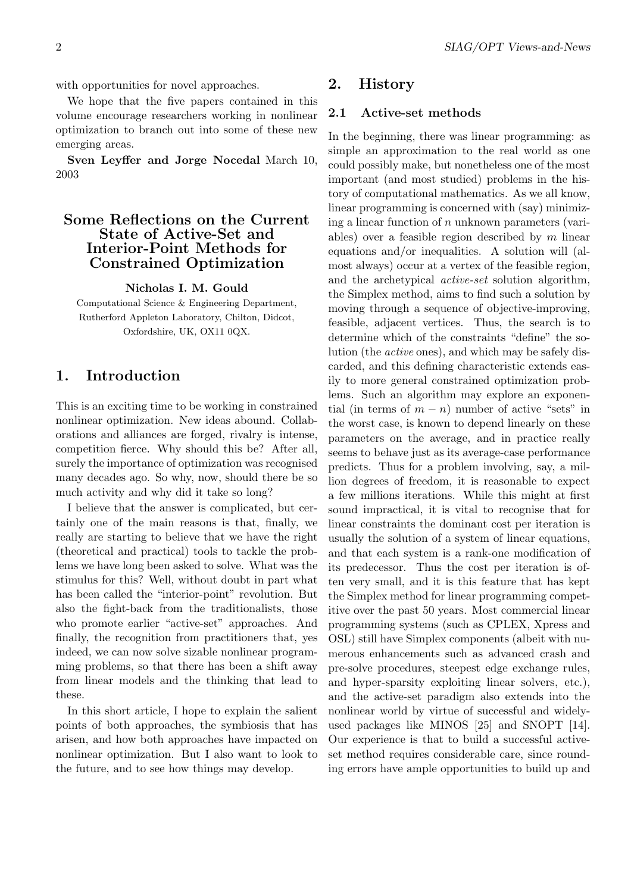with opportunities for novel approaches.

We hope that the five papers contained in this volume encourage researchers working in nonlinear optimization to branch out into some of these new emerging areas.

Sven Leyffer and Jorge Nocedal March 10, 2003

### Some Reflections on the Current State of Active-Set and Interior-Point Methods for Constrained Optimization

#### Nicholas I. M. Gould

Computational Science & Engineering Department, Rutherford Appleton Laboratory, Chilton, Didcot, Oxfordshire, UK, OX11 0QX.

### 1. Introduction

This is an exciting time to be working in constrained nonlinear optimization. New ideas abound. Collaborations and alliances are forged, rivalry is intense, competition fierce. Why should this be? After all, surely the importance of optimization was recognised many decades ago. So why, now, should there be so much activity and why did it take so long?

I believe that the answer is complicated, but certainly one of the main reasons is that, finally, we really are starting to believe that we have the right (theoretical and practical) tools to tackle the problems we have long been asked to solve. What was the stimulus for this? Well, without doubt in part what has been called the "interior-point" revolution. But also the fight-back from the traditionalists, those who promote earlier "active-set" approaches. And finally, the recognition from practitioners that, yes indeed, we can now solve sizable nonlinear programming problems, so that there has been a shift away from linear models and the thinking that lead to these.

In this short article, I hope to explain the salient points of both approaches, the symbiosis that has arisen, and how both approaches have impacted on nonlinear optimization. But I also want to look to the future, and to see how things may develop.

### 2. History

#### 2.1 Active-set methods

In the beginning, there was linear programming: as simple an approximation to the real world as one could possibly make, but nonetheless one of the most important (and most studied) problems in the history of computational mathematics. As we all know, linear programming is concerned with (say) minimizing a linear function of  $n$  unknown parameters (variables) over a feasible region described by  $m$  linear equations and/or inequalities. A solution will (almost always) occur at a vertex of the feasible region, and the archetypical active-set solution algorithm, the Simplex method, aims to find such a solution by moving through a sequence of objective-improving, feasible, adjacent vertices. Thus, the search is to determine which of the constraints "define" the solution (the active ones), and which may be safely discarded, and this defining characteristic extends easily to more general constrained optimization problems. Such an algorithm may explore an exponential (in terms of  $m - n$ ) number of active "sets" in the worst case, is known to depend linearly on these parameters on the average, and in practice really seems to behave just as its average-case performance predicts. Thus for a problem involving, say, a million degrees of freedom, it is reasonable to expect a few millions iterations. While this might at first sound impractical, it is vital to recognise that for linear constraints the dominant cost per iteration is usually the solution of a system of linear equations, and that each system is a rank-one modification of its predecessor. Thus the cost per iteration is often very small, and it is this feature that has kept the Simplex method for linear programming competitive over the past 50 years. Most commercial linear programming systems (such as CPLEX, Xpress and OSL) still have Simplex components (albeit with numerous enhancements such as advanced crash and pre-solve procedures, steepest edge exchange rules, and hyper-sparsity exploiting linear solvers, etc.), and the active-set paradigm also extends into the nonlinear world by virtue of successful and widelyused packages like MINOS [25] and SNOPT [14]. Our experience is that to build a successful activeset method requires considerable care, since rounding errors have ample opportunities to build up and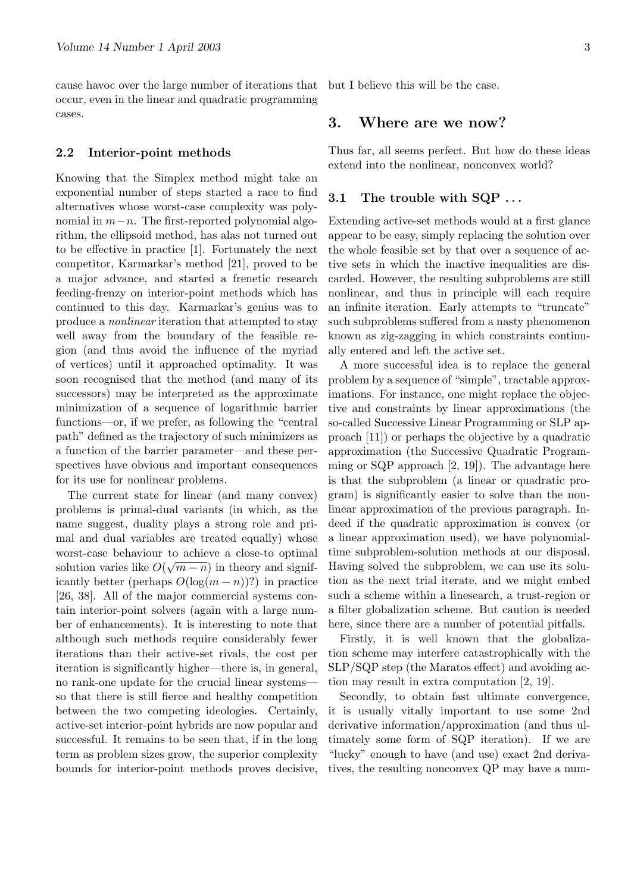cause havoc over the large number of iterations that but I believe this will be the case. occur, even in the linear and quadratic programming cases.

#### 2.2 Interior-point methods

Knowing that the Simplex method might take an exponential number of steps started a race to find alternatives whose worst-case complexity was polynomial in  $m-n$ . The first-reported polynomial algorithm, the ellipsoid method, has alas not turned out to be effective in practice [1]. Fortunately the next competitor, Karmarkar's method [21], proved to be a major advance, and started a frenetic research feeding-frenzy on interior-point methods which has continued to this day. Karmarkar's genius was to produce a nonlinear iteration that attempted to stay well away from the boundary of the feasible region (and thus avoid the influence of the myriad of vertices) until it approached optimality. It was soon recognised that the method (and many of its successors) may be interpreted as the approximate minimization of a sequence of logarithmic barrier functions—or, if we prefer, as following the "central path" defined as the trajectory of such minimizers as a function of the barrier parameter—and these perspectives have obvious and important consequences for its use for nonlinear problems.

The current state for linear (and many convex) problems is primal-dual variants (in which, as the name suggest, duality plays a strong role and primal and dual variables are treated equally) whose worst-case behaviour to achieve a close-to optimal solution varies like  $O(\sqrt{m-n})$  in theory and significantly better (perhaps  $O(\log(m - n))$ ?) in practice [26, 38]. All of the major commercial systems contain interior-point solvers (again with a large number of enhancements). It is interesting to note that although such methods require considerably fewer iterations than their active-set rivals, the cost per iteration is significantly higher—there is, in general, no rank-one update for the crucial linear systems so that there is still fierce and healthy competition between the two competing ideologies. Certainly, active-set interior-point hybrids are now popular and successful. It remains to be seen that, if in the long term as problem sizes grow, the superior complexity bounds for interior-point methods proves decisive,

### 3. Where are we now?

Thus far, all seems perfect. But how do these ideas extend into the nonlinear, nonconvex world?

### 3.1 The trouble with SQP ...

Extending active-set methods would at a first glance appear to be easy, simply replacing the solution over the whole feasible set by that over a sequence of active sets in which the inactive inequalities are discarded. However, the resulting subproblems are still nonlinear, and thus in principle will each require an infinite iteration. Early attempts to "truncate" such subproblems suffered from a nasty phenomenon known as zig-zagging in which constraints continually entered and left the active set.

A more successful idea is to replace the general problem by a sequence of "simple", tractable approximations. For instance, one might replace the objective and constraints by linear approximations (the so-called Successive Linear Programming or SLP approach [11]) or perhaps the objective by a quadratic approximation (the Successive Quadratic Programming or SQP approach [2, 19]). The advantage here is that the subproblem (a linear or quadratic program) is significantly easier to solve than the nonlinear approximation of the previous paragraph. Indeed if the quadratic approximation is convex (or a linear approximation used), we have polynomialtime subproblem-solution methods at our disposal. Having solved the subproblem, we can use its solution as the next trial iterate, and we might embed such a scheme within a linesearch, a trust-region or a filter globalization scheme. But caution is needed here, since there are a number of potential pitfalls.

Firstly, it is well known that the globalization scheme may interfere catastrophically with the SLP/SQP step (the Maratos effect) and avoiding action may result in extra computation [2, 19].

Secondly, to obtain fast ultimate convergence, it is usually vitally important to use some 2nd derivative information/approximation (and thus ultimately some form of SQP iteration). If we are "lucky" enough to have (and use) exact 2nd derivatives, the resulting nonconvex QP may have a num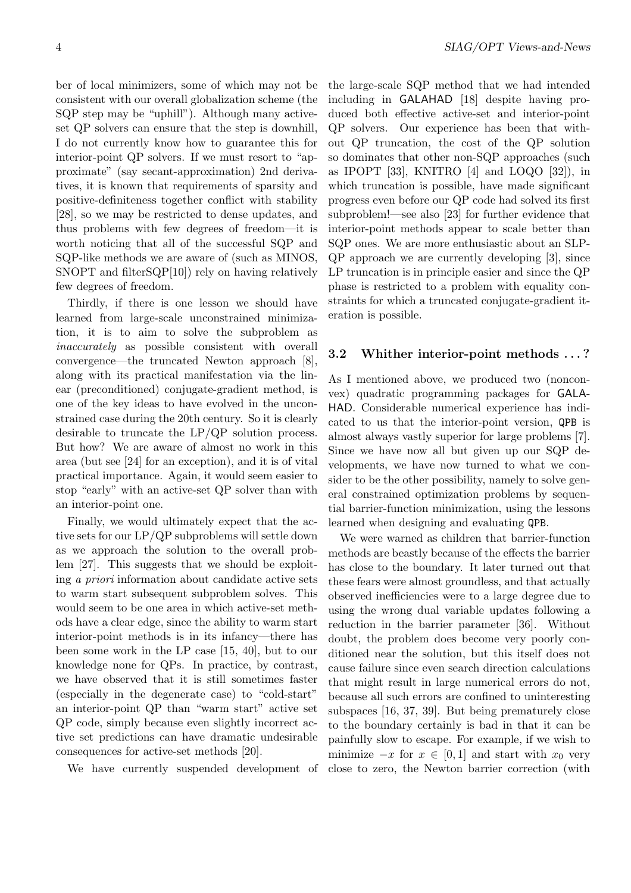ber of local minimizers, some of which may not be consistent with our overall globalization scheme (the SQP step may be "uphill"). Although many activeset QP solvers can ensure that the step is downhill, I do not currently know how to guarantee this for interior-point QP solvers. If we must resort to "approximate" (say secant-approximation) 2nd derivatives, it is known that requirements of sparsity and positive-definiteness together conflict with stability [28], so we may be restricted to dense updates, and thus problems with few degrees of freedom—it is worth noticing that all of the successful SQP and SQP-like methods we are aware of (such as MINOS, SNOPT and filterSQP[10]) rely on having relatively few degrees of freedom.

Thirdly, if there is one lesson we should have learned from large-scale unconstrained minimization, it is to aim to solve the subproblem as inaccurately as possible consistent with overall convergence—the truncated Newton approach [8], along with its practical manifestation via the linear (preconditioned) conjugate-gradient method, is one of the key ideas to have evolved in the unconstrained case during the 20th century. So it is clearly desirable to truncate the LP/QP solution process. But how? We are aware of almost no work in this area (but see [24] for an exception), and it is of vital practical importance. Again, it would seem easier to stop "early" with an active-set QP solver than with an interior-point one.

Finally, we would ultimately expect that the active sets for our LP/QP subproblems will settle down as we approach the solution to the overall problem [27]. This suggests that we should be exploiting a priori information about candidate active sets to warm start subsequent subproblem solves. This would seem to be one area in which active-set methods have a clear edge, since the ability to warm start interior-point methods is in its infancy—there has been some work in the LP case [15, 40], but to our knowledge none for QPs. In practice, by contrast, we have observed that it is still sometimes faster (especially in the degenerate case) to "cold-start" an interior-point QP than "warm start" active set QP code, simply because even slightly incorrect active set predictions can have dramatic undesirable consequences for active-set methods [20].

We have currently suspended development of

the large-scale SQP method that we had intended including in GALAHAD [18] despite having produced both effective active-set and interior-point QP solvers. Our experience has been that without QP truncation, the cost of the QP solution so dominates that other non-SQP approaches (such as IPOPT [33], KNITRO [4] and LOQO [32]), in which truncation is possible, have made significant progress even before our QP code had solved its first subproblem!—see also [23] for further evidence that interior-point methods appear to scale better than SQP ones. We are more enthusiastic about an SLP-QP approach we are currently developing [3], since LP truncation is in principle easier and since the QP phase is restricted to a problem with equality constraints for which a truncated conjugate-gradient iteration is possible.

#### 3.2 Whither interior-point methods . . . ?

As I mentioned above, we produced two (nonconvex) quadratic programming packages for GALA-HAD. Considerable numerical experience has indicated to us that the interior-point version, QPB is almost always vastly superior for large problems [7]. Since we have now all but given up our SQP developments, we have now turned to what we consider to be the other possibility, namely to solve general constrained optimization problems by sequential barrier-function minimization, using the lessons learned when designing and evaluating QPB.

We were warned as children that barrier-function methods are beastly because of the effects the barrier has close to the boundary. It later turned out that these fears were almost groundless, and that actually observed inefficiencies were to a large degree due to using the wrong dual variable updates following a reduction in the barrier parameter [36]. Without doubt, the problem does become very poorly conditioned near the solution, but this itself does not cause failure since even search direction calculations that might result in large numerical errors do not, because all such errors are confined to uninteresting subspaces [16, 37, 39]. But being prematurely close to the boundary certainly is bad in that it can be painfully slow to escape. For example, if we wish to minimize  $-x$  for  $x \in [0,1]$  and start with  $x_0$  very close to zero, the Newton barrier correction (with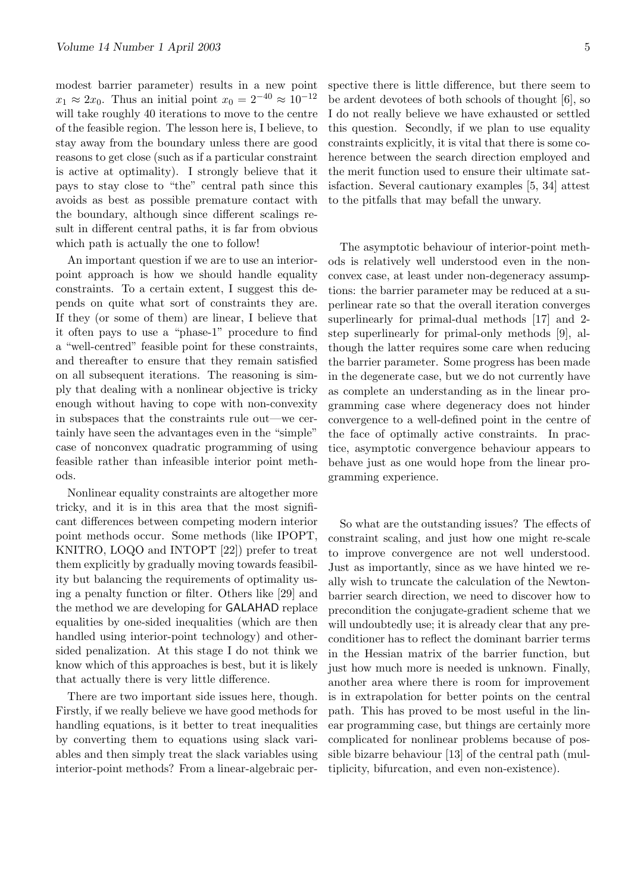modest barrier parameter) results in a new point  $x_1 \approx 2x_0$ . Thus an initial point  $x_0 = 2^{-40} \approx 10^{-12}$ will take roughly 40 iterations to move to the centre of the feasible region. The lesson here is, I believe, to stay away from the boundary unless there are good reasons to get close (such as if a particular constraint is active at optimality). I strongly believe that it pays to stay close to "the" central path since this avoids as best as possible premature contact with the boundary, although since different scalings result in different central paths, it is far from obvious which path is actually the one to follow!

An important question if we are to use an interiorpoint approach is how we should handle equality constraints. To a certain extent, I suggest this depends on quite what sort of constraints they are. If they (or some of them) are linear, I believe that it often pays to use a "phase-1" procedure to find a "well-centred" feasible point for these constraints, and thereafter to ensure that they remain satisfied on all subsequent iterations. The reasoning is simply that dealing with a nonlinear objective is tricky enough without having to cope with non-convexity in subspaces that the constraints rule out—we certainly have seen the advantages even in the "simple" case of nonconvex quadratic programming of using feasible rather than infeasible interior point methods.

Nonlinear equality constraints are altogether more tricky, and it is in this area that the most significant differences between competing modern interior point methods occur. Some methods (like IPOPT, KNITRO, LOQO and INTOPT [22]) prefer to treat them explicitly by gradually moving towards feasibility but balancing the requirements of optimality using a penalty function or filter. Others like [29] and the method we are developing for GALAHAD replace equalities by one-sided inequalities (which are then handled using interior-point technology) and othersided penalization. At this stage I do not think we know which of this approaches is best, but it is likely that actually there is very little difference.

There are two important side issues here, though. Firstly, if we really believe we have good methods for handling equations, is it better to treat inequalities by converting them to equations using slack variables and then simply treat the slack variables using interior-point methods? From a linear-algebraic per-

spective there is little difference, but there seem to be ardent devotees of both schools of thought [6], so I do not really believe we have exhausted or settled this question. Secondly, if we plan to use equality constraints explicitly, it is vital that there is some coherence between the search direction employed and the merit function used to ensure their ultimate satisfaction. Several cautionary examples [5, 34] attest to the pitfalls that may befall the unwary.

The asymptotic behaviour of interior-point methods is relatively well understood even in the nonconvex case, at least under non-degeneracy assumptions: the barrier parameter may be reduced at a superlinear rate so that the overall iteration converges superlinearly for primal-dual methods [17] and 2 step superlinearly for primal-only methods [9], although the latter requires some care when reducing the barrier parameter. Some progress has been made in the degenerate case, but we do not currently have as complete an understanding as in the linear programming case where degeneracy does not hinder convergence to a well-defined point in the centre of the face of optimally active constraints. In practice, asymptotic convergence behaviour appears to behave just as one would hope from the linear programming experience.

So what are the outstanding issues? The effects of constraint scaling, and just how one might re-scale to improve convergence are not well understood. Just as importantly, since as we have hinted we really wish to truncate the calculation of the Newtonbarrier search direction, we need to discover how to precondition the conjugate-gradient scheme that we will undoubtedly use; it is already clear that any preconditioner has to reflect the dominant barrier terms in the Hessian matrix of the barrier function, but just how much more is needed is unknown. Finally, another area where there is room for improvement is in extrapolation for better points on the central path. This has proved to be most useful in the linear programming case, but things are certainly more complicated for nonlinear problems because of possible bizarre behaviour [13] of the central path (multiplicity, bifurcation, and even non-existence).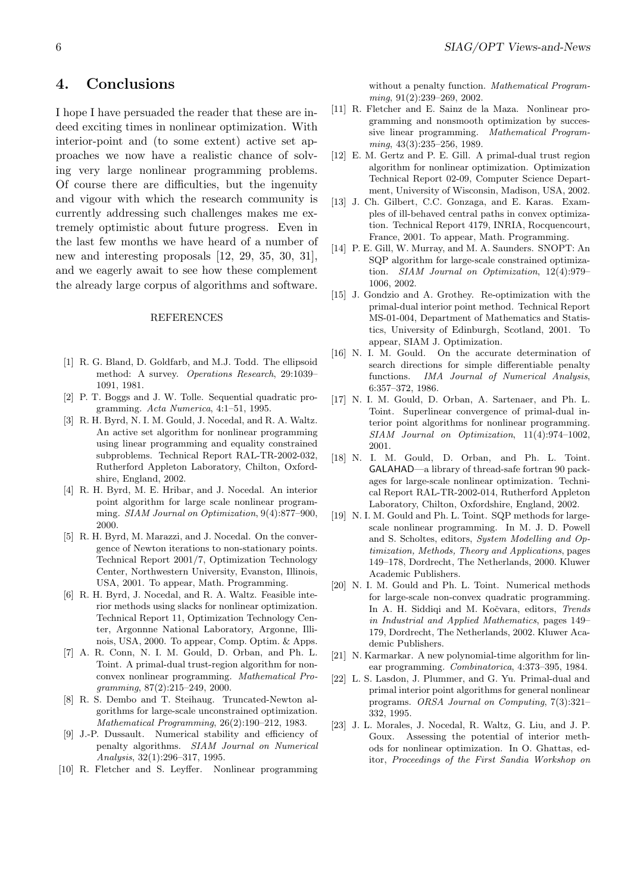### 4. Conclusions

I hope I have persuaded the reader that these are indeed exciting times in nonlinear optimization. With interior-point and (to some extent) active set approaches we now have a realistic chance of solving very large nonlinear programming problems. Of course there are difficulties, but the ingenuity and vigour with which the research community is currently addressing such challenges makes me extremely optimistic about future progress. Even in the last few months we have heard of a number of new and interesting proposals [12, 29, 35, 30, 31], and we eagerly await to see how these complement the already large corpus of algorithms and software.

#### REFERENCES

- [1] R. G. Bland, D. Goldfarb, and M.J. Todd. The ellipsoid method: A survey. Operations Research, 29:1039– 1091, 1981.
- [2] P. T. Boggs and J. W. Tolle. Sequential quadratic programming. Acta Numerica, 4:1–51, 1995.
- [3] R. H. Byrd, N. I. M. Gould, J. Nocedal, and R. A. Waltz. An active set algorithm for nonlinear programming using linear programming and equality constrained subproblems. Technical Report RAL-TR-2002-032, Rutherford Appleton Laboratory, Chilton, Oxfordshire, England, 2002.
- [4] R. H. Byrd, M. E. Hribar, and J. Nocedal. An interior point algorithm for large scale nonlinear programming. SIAM Journal on Optimization, 9(4):877–900, 2000.
- [5] R. H. Byrd, M. Marazzi, and J. Nocedal. On the convergence of Newton iterations to non-stationary points. Technical Report 2001/7, Optimization Technology Center, Northwestern University, Evanston, Illinois, USA, 2001. To appear, Math. Programming.
- [6] R. H. Byrd, J. Nocedal, and R. A. Waltz. Feasible interior methods using slacks for nonlinear optimization. Technical Report 11, Optimization Technology Center, Argonnne National Laboratory, Argonne, Illinois, USA, 2000. To appear, Comp. Optim. & Apps.
- [7] A. R. Conn, N. I. M. Gould, D. Orban, and Ph. L. Toint. A primal-dual trust-region algorithm for nonconvex nonlinear programming. Mathematical Programming, 87(2):215–249, 2000.
- [8] R. S. Dembo and T. Steihaug. Truncated-Newton algorithms for large-scale unconstrained optimization. Mathematical Programming, 26(2):190–212, 1983.
- [9] J.-P. Dussault. Numerical stability and efficiency of penalty algorithms. SIAM Journal on Numerical Analysis, 32(1):296–317, 1995.
- [10] R. Fletcher and S. Leyffer. Nonlinear programming

without a penalty function. Mathematical Programming, 91(2):239–269, 2002.

- [11] R. Fletcher and E. Sainz de la Maza. Nonlinear programming and nonsmooth optimization by successive linear programming. Mathematical Programming, 43(3):235–256, 1989.
- [12] E. M. Gertz and P. E. Gill. A primal-dual trust region algorithm for nonlinear optimization. Optimization Technical Report 02-09, Computer Science Department, University of Wisconsin, Madison, USA, 2002.
- [13] J. Ch. Gilbert, C.C. Gonzaga, and E. Karas. Examples of ill-behaved central paths in convex optimization. Technical Report 4179, INRIA, Rocquencourt, France, 2001. To appear, Math. Programming.
- [14] P. E. Gill, W. Murray, and M. A. Saunders. SNOPT: An SQP algorithm for large-scale constrained optimization. SIAM Journal on Optimization, 12(4):979– 1006, 2002.
- [15] J. Gondzio and A. Grothey. Re-optimization with the primal-dual interior point method. Technical Report MS-01-004, Department of Mathematics and Statistics, University of Edinburgh, Scotland, 2001. To appear, SIAM J. Optimization.
- [16] N. I. M. Gould. On the accurate determination of search directions for simple differentiable penalty functions. IMA Journal of Numerical Analysis, 6:357–372, 1986.
- [17] N. I. M. Gould, D. Orban, A. Sartenaer, and Ph. L. Toint. Superlinear convergence of primal-dual interior point algorithms for nonlinear programming. SIAM Journal on Optimization, 11(4):974–1002, 2001.
- [18] N. I. M. Gould, D. Orban, and Ph. L. Toint. GALAHAD—a library of thread-safe fortran 90 packages for large-scale nonlinear optimization. Technical Report RAL-TR-2002-014, Rutherford Appleton Laboratory, Chilton, Oxfordshire, England, 2002.
- [19] N. I. M. Gould and Ph. L. Toint. SQP methods for largescale nonlinear programming. In M. J. D. Powell and S. Scholtes, editors, System Modelling and Optimization, Methods, Theory and Applications, pages 149–178, Dordrecht, The Netherlands, 2000. Kluwer Academic Publishers.
- [20] N. I. M. Gould and Ph. L. Toint. Numerical methods for large-scale non-convex quadratic programming. In A. H. Siddiqi and M. Kočvara, editors, Trends in Industrial and Applied Mathematics, pages 149– 179, Dordrecht, The Netherlands, 2002. Kluwer Academic Publishers.
- [21] N. Karmarkar. A new polynomial-time algorithm for linear programming. Combinatorica, 4:373–395, 1984.
- [22] L. S. Lasdon, J. Plummer, and G. Yu. Primal-dual and primal interior point algorithms for general nonlinear programs. ORSA Journal on Computing, 7(3):321– 332, 1995.
- [23] J. L. Morales, J. Nocedal, R. Waltz, G. Liu, and J. P. Goux. Assessing the potential of interior methods for nonlinear optimization. In O. Ghattas, editor, Proceedings of the First Sandia Workshop on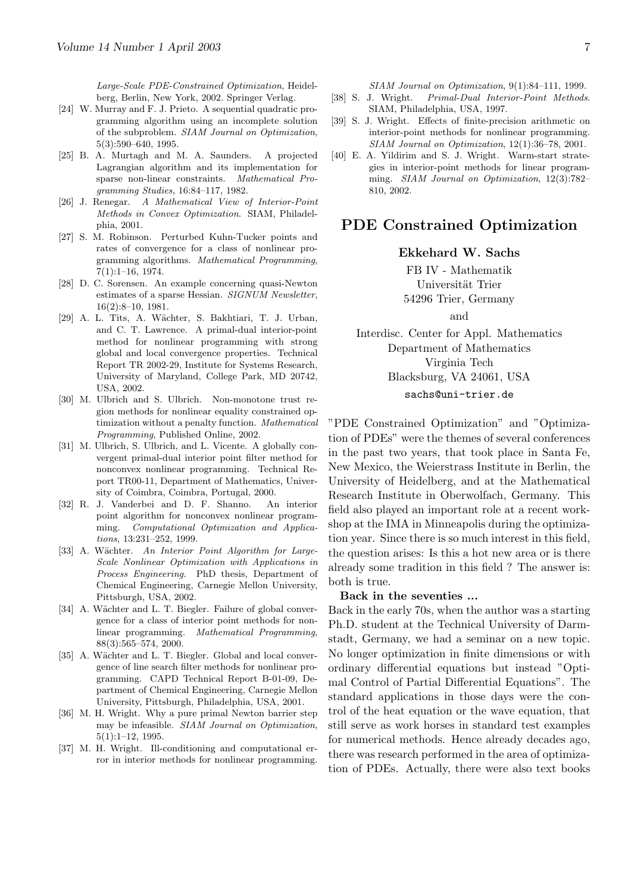Large-Scale PDE-Constrained Optimization, Heidelberg, Berlin, New York, 2002. Springer Verlag.

- [24] W. Murray and F. J. Prieto. A sequential quadratic programming algorithm using an incomplete solution of the subproblem. SIAM Journal on Optimization, 5(3):590–640, 1995.
- [25] B. A. Murtagh and M. A. Saunders. A projected Lagrangian algorithm and its implementation for sparse non-linear constraints. Mathematical Programming Studies, 16:84–117, 1982.
- [26] J. Renegar. A Mathematical View of Interior-Point Methods in Convex Optimization. SIAM, Philadelphia, 2001.
- [27] S. M. Robinson. Perturbed Kuhn-Tucker points and rates of convergence for a class of nonlinear programming algorithms. Mathematical Programming, 7(1):1–16, 1974.
- [28] D. C. Sorensen. An example concerning quasi-Newton estimates of a sparse Hessian. SIGNUM Newsletter, 16(2):8–10, 1981.
- [29] A. L. Tits, A. Wächter, S. Bakhtiari, T. J. Urban, and C. T. Lawrence. A primal-dual interior-point method for nonlinear programming with strong global and local convergence properties. Technical Report TR 2002-29, Institute for Systems Research, University of Maryland, College Park, MD 20742, USA, 2002.
- [30] M. Ulbrich and S. Ulbrich. Non-monotone trust region methods for nonlinear equality constrained optimization without a penalty function. Mathematical Programming, Published Online, 2002.
- [31] M. Ulbrich, S. Ulbrich, and L. Vicente. A globally convergent primal-dual interior point filter method for nonconvex nonlinear programming. Technical Report TR00-11, Department of Mathematics, University of Coimbra, Coimbra, Portugal, 2000.
- [32] R. J. Vanderbei and D. F. Shanno. An interior point algorithm for nonconvex nonlinear programming. Computational Optimization and Applications, 13:231–252, 1999.
- [33] A. Wächter. An Interior Point Algorithm for Large-Scale Nonlinear Optimization with Applications in Process Engineering. PhD thesis, Department of Chemical Engineering, Carnegie Mellon University, Pittsburgh, USA, 2002.
- [34] A. Wächter and L. T. Biegler. Failure of global convergence for a class of interior point methods for nonlinear programming. Mathematical Programming, 88(3):565–574, 2000.
- [35] A. Wächter and L. T. Biegler. Global and local convergence of line search filter methods for nonlinear programming. CAPD Technical Report B-01-09, Department of Chemical Engineering, Carnegie Mellon University, Pittsburgh, Philadelphia, USA, 2001.
- [36] M. H. Wright. Why a pure primal Newton barrier step may be infeasible. SIAM Journal on Optimization, 5(1):1–12, 1995.
- [37] M. H. Wright. Ill-conditioning and computational error in interior methods for nonlinear programming.

SIAM Journal on Optimization, 9(1):84–111, 1999.

- [38] S. J. Wright. Primal-Dual Interior-Point Methods. SIAM, Philadelphia, USA, 1997.
- [39] S. J. Wright. Effects of finite-precision arithmetic on interior-point methods for nonlinear programming. SIAM Journal on Optimization, 12(1):36–78, 2001.
- [40] E. A. Yildirim and S. J. Wright. Warm-start strategies in interior-point methods for linear programming. SIAM Journal on Optimization, 12(3):782– 810, 2002.

### PDE Constrained Optimization

#### Ekkehard W. Sachs

FB IV - Mathematik Universität Trier 54296 Trier, Germany

and

Interdisc. Center for Appl. Mathematics Department of Mathematics Virginia Tech Blacksburg, VA 24061, USA sachs@uni-trier.de

"PDE Constrained Optimization" and "Optimization of PDEs" were the themes of several conferences in the past two years, that took place in Santa Fe, New Mexico, the Weierstrass Institute in Berlin, the University of Heidelberg, and at the Mathematical Research Institute in Oberwolfach, Germany. This field also played an important role at a recent workshop at the IMA in Minneapolis during the optimization year. Since there is so much interest in this field, the question arises: Is this a hot new area or is there already some tradition in this field ? The answer is: both is true.

#### Back in the seventies ...

Back in the early 70s, when the author was a starting Ph.D. student at the Technical University of Darmstadt, Germany, we had a seminar on a new topic. No longer optimization in finite dimensions or with ordinary differential equations but instead "Optimal Control of Partial Differential Equations". The standard applications in those days were the control of the heat equation or the wave equation, that still serve as work horses in standard test examples for numerical methods. Hence already decades ago, there was research performed in the area of optimization of PDEs. Actually, there were also text books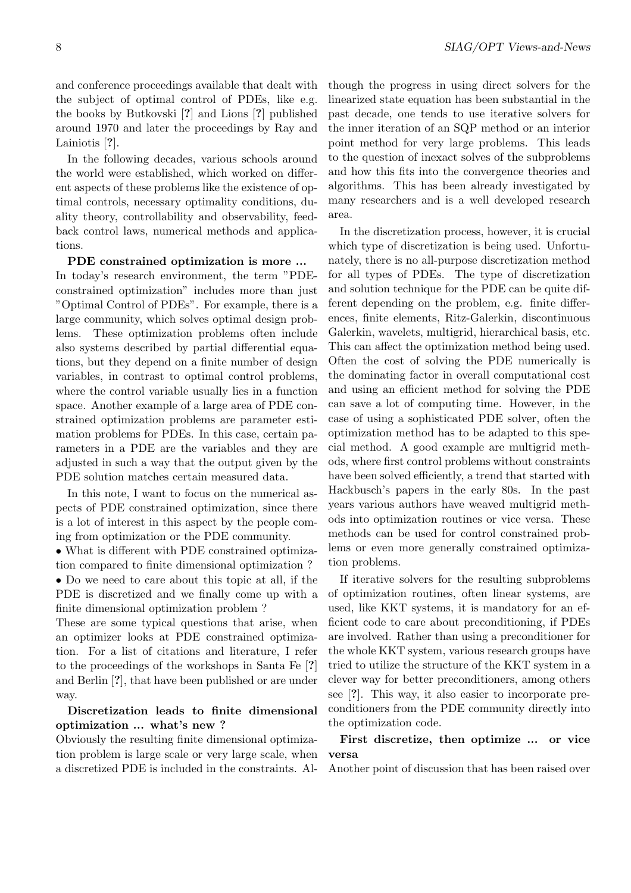and conference proceedings available that dealt with the subject of optimal control of PDEs, like e.g. the books by Butkovski [?] and Lions [?] published around 1970 and later the proceedings by Ray and Lainiotis [?].

In the following decades, various schools around the world were established, which worked on different aspects of these problems like the existence of optimal controls, necessary optimality conditions, duality theory, controllability and observability, feedback control laws, numerical methods and applications.

PDE constrained optimization is more ... In today's research environment, the term "PDEconstrained optimization" includes more than just "Optimal Control of PDEs". For example, there is a large community, which solves optimal design problems. These optimization problems often include also systems described by partial differential equations, but they depend on a finite number of design variables, in contrast to optimal control problems, where the control variable usually lies in a function space. Another example of a large area of PDE constrained optimization problems are parameter estimation problems for PDEs. In this case, certain parameters in a PDE are the variables and they are adjusted in such a way that the output given by the PDE solution matches certain measured data.

In this note, I want to focus on the numerical aspects of PDE constrained optimization, since there is a lot of interest in this aspect by the people coming from optimization or the PDE community.

• What is different with PDE constrained optimization compared to finite dimensional optimization ?

• Do we need to care about this topic at all, if the PDE is discretized and we finally come up with a finite dimensional optimization problem ?

These are some typical questions that arise, when an optimizer looks at PDE constrained optimization. For a list of citations and literature, I refer to the proceedings of the workshops in Santa Fe [?] and Berlin [?], that have been published or are under way.

#### Discretization leads to finite dimensional optimization ... what's new ?

Obviously the resulting finite dimensional optimization problem is large scale or very large scale, when a discretized PDE is included in the constraints. Although the progress in using direct solvers for the linearized state equation has been substantial in the past decade, one tends to use iterative solvers for the inner iteration of an SQP method or an interior point method for very large problems. This leads to the question of inexact solves of the subproblems and how this fits into the convergence theories and algorithms. This has been already investigated by many researchers and is a well developed research area.

In the discretization process, however, it is crucial which type of discretization is being used. Unfortunately, there is no all-purpose discretization method for all types of PDEs. The type of discretization and solution technique for the PDE can be quite different depending on the problem, e.g. finite differences, finite elements, Ritz-Galerkin, discontinuous Galerkin, wavelets, multigrid, hierarchical basis, etc. This can affect the optimization method being used. Often the cost of solving the PDE numerically is the dominating factor in overall computational cost and using an efficient method for solving the PDE can save a lot of computing time. However, in the case of using a sophisticated PDE solver, often the optimization method has to be adapted to this special method. A good example are multigrid methods, where first control problems without constraints have been solved efficiently, a trend that started with Hackbusch's papers in the early 80s. In the past years various authors have weaved multigrid methods into optimization routines or vice versa. These methods can be used for control constrained problems or even more generally constrained optimization problems.

If iterative solvers for the resulting subproblems of optimization routines, often linear systems, are used, like KKT systems, it is mandatory for an efficient code to care about preconditioning, if PDEs are involved. Rather than using a preconditioner for the whole KKT system, various research groups have tried to utilize the structure of the KKT system in a clever way for better preconditioners, among others see [?]. This way, it also easier to incorporate preconditioners from the PDE community directly into the optimization code.

### First discretize, then optimize ... or vice versa

Another point of discussion that has been raised over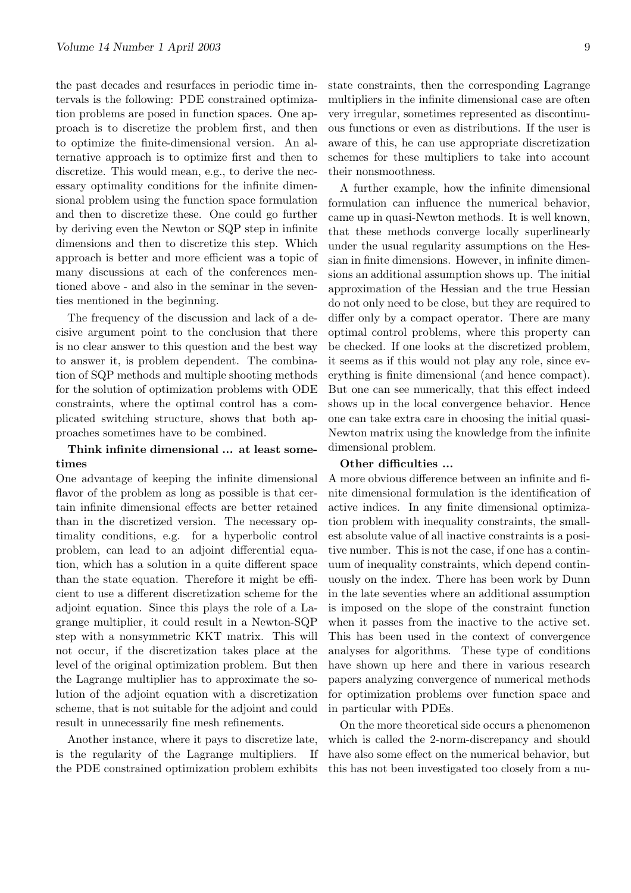the past decades and resurfaces in periodic time intervals is the following: PDE constrained optimization problems are posed in function spaces. One approach is to discretize the problem first, and then to optimize the finite-dimensional version. An alternative approach is to optimize first and then to discretize. This would mean, e.g., to derive the necessary optimality conditions for the infinite dimensional problem using the function space formulation and then to discretize these. One could go further by deriving even the Newton or SQP step in infinite dimensions and then to discretize this step. Which approach is better and more efficient was a topic of many discussions at each of the conferences mentioned above - and also in the seminar in the seventies mentioned in the beginning.

The frequency of the discussion and lack of a decisive argument point to the conclusion that there is no clear answer to this question and the best way to answer it, is problem dependent. The combination of SQP methods and multiple shooting methods for the solution of optimization problems with ODE constraints, where the optimal control has a complicated switching structure, shows that both approaches sometimes have to be combined.

#### Think infinite dimensional ... at least sometimes

One advantage of keeping the infinite dimensional flavor of the problem as long as possible is that certain infinite dimensional effects are better retained than in the discretized version. The necessary optimality conditions, e.g. for a hyperbolic control problem, can lead to an adjoint differential equation, which has a solution in a quite different space than the state equation. Therefore it might be efficient to use a different discretization scheme for the adjoint equation. Since this plays the role of a Lagrange multiplier, it could result in a Newton-SQP step with a nonsymmetric KKT matrix. This will not occur, if the discretization takes place at the level of the original optimization problem. But then the Lagrange multiplier has to approximate the solution of the adjoint equation with a discretization scheme, that is not suitable for the adjoint and could result in unnecessarily fine mesh refinements.

Another instance, where it pays to discretize late, is the regularity of the Lagrange multipliers. If the PDE constrained optimization problem exhibits

state constraints, then the corresponding Lagrange multipliers in the infinite dimensional case are often very irregular, sometimes represented as discontinuous functions or even as distributions. If the user is aware of this, he can use appropriate discretization schemes for these multipliers to take into account their nonsmoothness.

A further example, how the infinite dimensional formulation can influence the numerical behavior, came up in quasi-Newton methods. It is well known, that these methods converge locally superlinearly under the usual regularity assumptions on the Hessian in finite dimensions. However, in infinite dimensions an additional assumption shows up. The initial approximation of the Hessian and the true Hessian do not only need to be close, but they are required to differ only by a compact operator. There are many optimal control problems, where this property can be checked. If one looks at the discretized problem, it seems as if this would not play any role, since everything is finite dimensional (and hence compact). But one can see numerically, that this effect indeed shows up in the local convergence behavior. Hence one can take extra care in choosing the initial quasi-Newton matrix using the knowledge from the infinite dimensional problem.

#### Other difficulties ...

A more obvious difference between an infinite and finite dimensional formulation is the identification of active indices. In any finite dimensional optimization problem with inequality constraints, the smallest absolute value of all inactive constraints is a positive number. This is not the case, if one has a continuum of inequality constraints, which depend continuously on the index. There has been work by Dunn in the late seventies where an additional assumption is imposed on the slope of the constraint function when it passes from the inactive to the active set. This has been used in the context of convergence analyses for algorithms. These type of conditions have shown up here and there in various research papers analyzing convergence of numerical methods for optimization problems over function space and in particular with PDEs.

On the more theoretical side occurs a phenomenon which is called the 2-norm-discrepancy and should have also some effect on the numerical behavior, but this has not been investigated too closely from a nu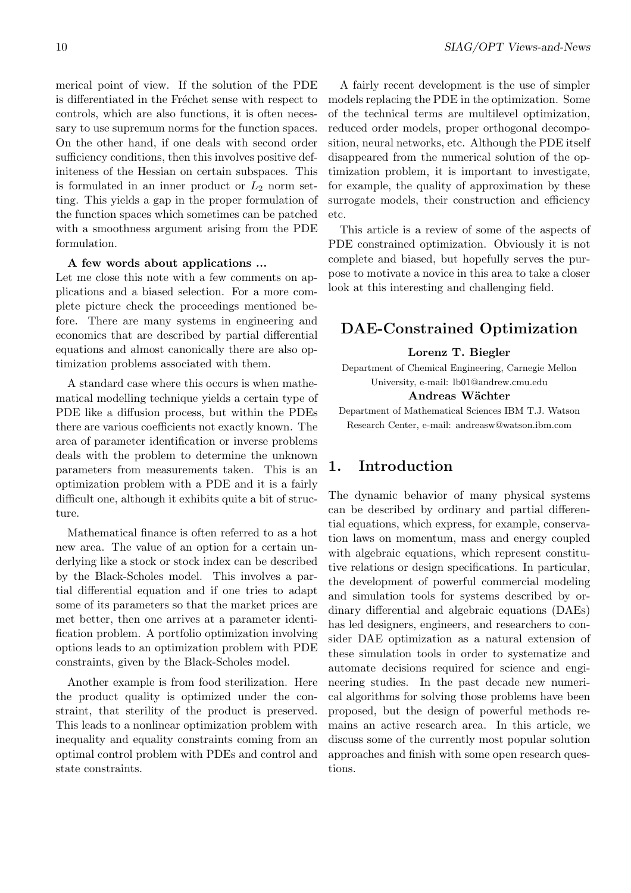merical point of view. If the solution of the PDE is differentiated in the Fréchet sense with respect to controls, which are also functions, it is often necessary to use supremum norms for the function spaces. On the other hand, if one deals with second order sufficiency conditions, then this involves positive definiteness of the Hessian on certain subspaces. This is formulated in an inner product or  $L_2$  norm setting. This yields a gap in the proper formulation of the function spaces which sometimes can be patched with a smoothness argument arising from the PDE formulation.

#### A few words about applications ...

Let me close this note with a few comments on applications and a biased selection. For a more complete picture check the proceedings mentioned before. There are many systems in engineering and economics that are described by partial differential equations and almost canonically there are also optimization problems associated with them.

A standard case where this occurs is when mathematical modelling technique yields a certain type of PDE like a diffusion process, but within the PDEs there are various coefficients not exactly known. The area of parameter identification or inverse problems deals with the problem to determine the unknown parameters from measurements taken. This is an optimization problem with a PDE and it is a fairly difficult one, although it exhibits quite a bit of structure.

Mathematical finance is often referred to as a hot new area. The value of an option for a certain underlying like a stock or stock index can be described by the Black-Scholes model. This involves a partial differential equation and if one tries to adapt some of its parameters so that the market prices are met better, then one arrives at a parameter identification problem. A portfolio optimization involving options leads to an optimization problem with PDE constraints, given by the Black-Scholes model.

Another example is from food sterilization. Here the product quality is optimized under the constraint, that sterility of the product is preserved. This leads to a nonlinear optimization problem with inequality and equality constraints coming from an optimal control problem with PDEs and control and state constraints.

A fairly recent development is the use of simpler models replacing the PDE in the optimization. Some of the technical terms are multilevel optimization, reduced order models, proper orthogonal decomposition, neural networks, etc. Although the PDE itself disappeared from the numerical solution of the optimization problem, it is important to investigate, for example, the quality of approximation by these surrogate models, their construction and efficiency etc.

This article is a review of some of the aspects of PDE constrained optimization. Obviously it is not complete and biased, but hopefully serves the purpose to motivate a novice in this area to take a closer look at this interesting and challenging field.

### DAE-Constrained Optimization

#### Lorenz T. Biegler

Department of Chemical Engineering, Carnegie Mellon University, e-mail: lb01@andrew.cmu.edu

#### Andreas Wächter

Department of Mathematical Sciences IBM T.J. Watson Research Center, e-mail: andreasw@watson.ibm.com

### 1. Introduction

The dynamic behavior of many physical systems can be described by ordinary and partial differential equations, which express, for example, conservation laws on momentum, mass and energy coupled with algebraic equations, which represent constitutive relations or design specifications. In particular, the development of powerful commercial modeling and simulation tools for systems described by ordinary differential and algebraic equations (DAEs) has led designers, engineers, and researchers to consider DAE optimization as a natural extension of these simulation tools in order to systematize and automate decisions required for science and engineering studies. In the past decade new numerical algorithms for solving those problems have been proposed, but the design of powerful methods remains an active research area. In this article, we discuss some of the currently most popular solution approaches and finish with some open research questions.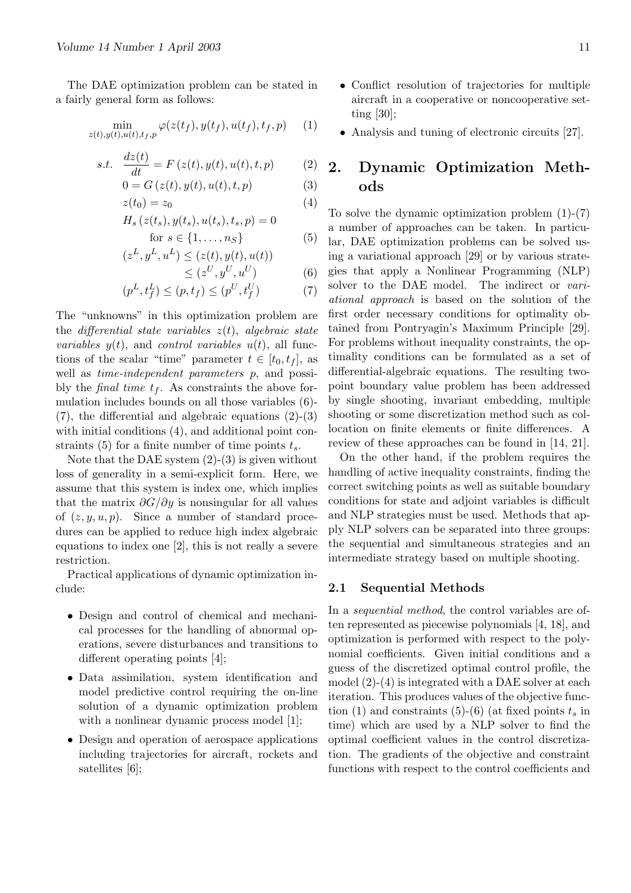The DAE optimization problem can be stated in a fairly general form as follows:

$$
\min_{z(t),y(t),u(t),t_f,p} \varphi(z(t_f),y(t_f),u(t_f),t_f,p) \qquad (1)
$$

s.t. 
$$
\frac{dz(t)}{dt} = F(z(t), y(t), u(t), t, p)
$$
 (2)

$$
0 = G(z(t), y(t), u(t), t, p)
$$
\n<sup>(3)</sup>

$$
z(t_0) = z_0 \tag{4}
$$

$$
H_s(z(t_s), y(t_s), u(t_s), t_s, p) = 0
$$
  
for  $s \in \{1, ..., n_S\}$  (5)

$$
(zL, yL, uL) \leq (z(t), y(t), u(t))
$$
  

$$
\leq (zU, yU, uU)
$$

 $(6)$ 

$$
(p^{L}, t_{f}^{L}) \le (p, t_{f}) \le (p^{U}, t_{f}^{U})
$$
 (7)

The "unknowns" in this optimization problem are the differential state variables  $z(t)$ , algebraic state *variables*  $y(t)$ , and *control variables*  $u(t)$ , all functions of the scalar "time" parameter  $t \in [t_0, t_f]$ , as well as *time-independent parameters* p, and possibly the *final time*  $t_f$ . As constraints the above formulation includes bounds on all those variables (6)- (7), the differential and algebraic equations (2)-(3) with initial conditions  $(4)$ , and additional point constraints (5) for a finite number of time points  $t_s$ .

Note that the DAE system  $(2)-(3)$  is given without loss of generality in a semi-explicit form. Here, we assume that this system is index one, which implies that the matrix  $\partial G/\partial y$  is nonsingular for all values of  $(z, y, u, p)$ . Since a number of standard procedures can be applied to reduce high index algebraic equations to index one [2], this is not really a severe restriction.

Practical applications of dynamic optimization include:

- Design and control of chemical and mechanical processes for the handling of abnormal operations, severe disturbances and transitions to different operating points [4];
- Data assimilation, system identification and model predictive control requiring the on-line solution of a dynamic optimization problem with a nonlinear dynamic process model [1];
- Design and operation of aerospace applications including trajectories for aircraft, rockets and satellites [6];
- Conflict resolution of trajectories for multiple aircraft in a cooperative or noncooperative setting [30];
- Analysis and tuning of electronic circuits [27].

## 2. Dynamic Optimization Methods

To solve the dynamic optimization problem  $(1)-(7)$ a number of approaches can be taken. In particular, DAE optimization problems can be solved using a variational approach [29] or by various strategies that apply a Nonlinear Programming (NLP) solver to the DAE model. The indirect or variational approach is based on the solution of the first order necessary conditions for optimality obtained from Pontryagin's Maximum Principle [29]. For problems without inequality constraints, the optimality conditions can be formulated as a set of differential-algebraic equations. The resulting twopoint boundary value problem has been addressed by single shooting, invariant embedding, multiple shooting or some discretization method such as collocation on finite elements or finite differences. A review of these approaches can be found in [14, 21].

On the other hand, if the problem requires the handling of active inequality constraints, finding the correct switching points as well as suitable boundary conditions for state and adjoint variables is difficult and NLP strategies must be used. Methods that apply NLP solvers can be separated into three groups: the sequential and simultaneous strategies and an intermediate strategy based on multiple shooting.

#### 2.1 Sequential Methods

In a *sequential method*, the control variables are often represented as piecewise polynomials [4, 18], and optimization is performed with respect to the polynomial coefficients. Given initial conditions and a guess of the discretized optimal control profile, the model (2)-(4) is integrated with a DAE solver at each iteration. This produces values of the objective function (1) and constraints (5)-(6) (at fixed points  $t_s$  in time) which are used by a NLP solver to find the optimal coefficient values in the control discretization. The gradients of the objective and constraint functions with respect to the control coefficients and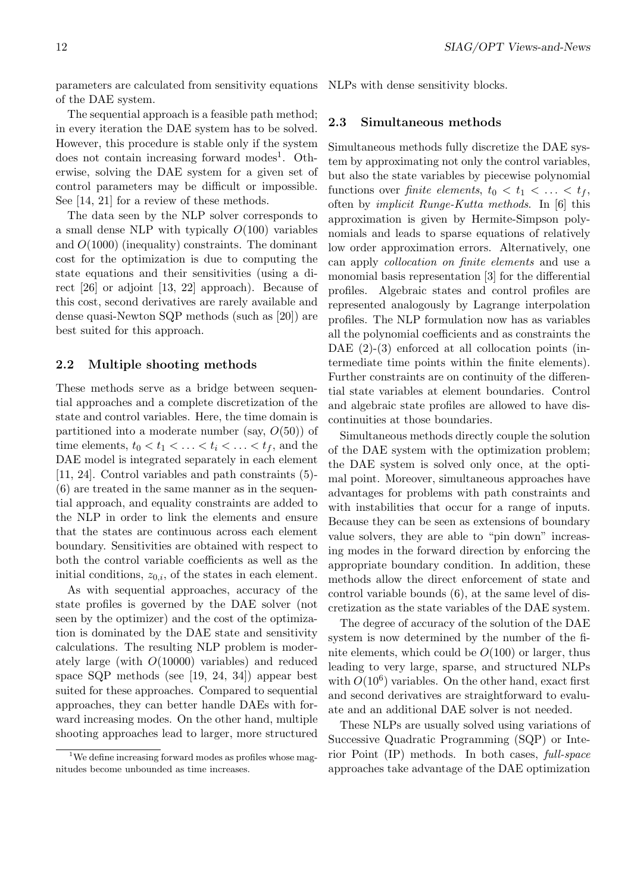parameters are calculated from sensitivity equations of the DAE system.

The sequential approach is a feasible path method; in every iteration the DAE system has to be solved. However, this procedure is stable only if the system does not contain increasing forward modes<sup>1</sup>. Otherwise, solving the DAE system for a given set of control parameters may be difficult or impossible. See [14, 21] for a review of these methods.

The data seen by the NLP solver corresponds to a small dense NLP with typically  $O(100)$  variables and  $O(1000)$  (inequality) constraints. The dominant cost for the optimization is due to computing the state equations and their sensitivities (using a direct [26] or adjoint [13, 22] approach). Because of this cost, second derivatives are rarely available and dense quasi-Newton SQP methods (such as [20]) are best suited for this approach.

#### 2.2 Multiple shooting methods

These methods serve as a bridge between sequential approaches and a complete discretization of the state and control variables. Here, the time domain is partitioned into a moderate number (say,  $O(50)$ ) of time elements,  $t_0 < t_1 < \ldots < t_i < \ldots < t_f$ , and the DAE model is integrated separately in each element [11, 24]. Control variables and path constraints (5)- (6) are treated in the same manner as in the sequential approach, and equality constraints are added to the NLP in order to link the elements and ensure that the states are continuous across each element boundary. Sensitivities are obtained with respect to both the control variable coefficients as well as the initial conditions,  $z_{0,i}$ , of the states in each element.

As with sequential approaches, accuracy of the state profiles is governed by the DAE solver (not seen by the optimizer) and the cost of the optimization is dominated by the DAE state and sensitivity calculations. The resulting NLP problem is moderately large (with O(10000) variables) and reduced space SQP methods (see [19, 24, 34]) appear best suited for these approaches. Compared to sequential approaches, they can better handle DAEs with forward increasing modes. On the other hand, multiple shooting approaches lead to larger, more structured

NLPs with dense sensitivity blocks.

#### 2.3 Simultaneous methods

Simultaneous methods fully discretize the DAE system by approximating not only the control variables, but also the state variables by piecewise polynomial functions over finite elements,  $t_0 < t_1 < \ldots < t_f$ , often by implicit Runge-Kutta methods. In [6] this approximation is given by Hermite-Simpson polynomials and leads to sparse equations of relatively low order approximation errors. Alternatively, one can apply collocation on finite elements and use a monomial basis representation [3] for the differential profiles. Algebraic states and control profiles are represented analogously by Lagrange interpolation profiles. The NLP formulation now has as variables all the polynomial coefficients and as constraints the DAE  $(2)-(3)$  enforced at all collocation points (intermediate time points within the finite elements). Further constraints are on continuity of the differential state variables at element boundaries. Control and algebraic state profiles are allowed to have discontinuities at those boundaries.

Simultaneous methods directly couple the solution of the DAE system with the optimization problem; the DAE system is solved only once, at the optimal point. Moreover, simultaneous approaches have advantages for problems with path constraints and with instabilities that occur for a range of inputs. Because they can be seen as extensions of boundary value solvers, they are able to "pin down" increasing modes in the forward direction by enforcing the appropriate boundary condition. In addition, these methods allow the direct enforcement of state and control variable bounds (6), at the same level of discretization as the state variables of the DAE system.

The degree of accuracy of the solution of the DAE system is now determined by the number of the finite elements, which could be  $O(100)$  or larger, thus leading to very large, sparse, and structured NLPs with  $O(10^6)$  variables. On the other hand, exact first and second derivatives are straightforward to evaluate and an additional DAE solver is not needed.

These NLPs are usually solved using variations of Successive Quadratic Programming (SQP) or Interior Point (IP) methods. In both cases, full-space approaches take advantage of the DAE optimization

<sup>&</sup>lt;sup>1</sup>We define increasing forward modes as profiles whose magnitudes become unbounded as time increases.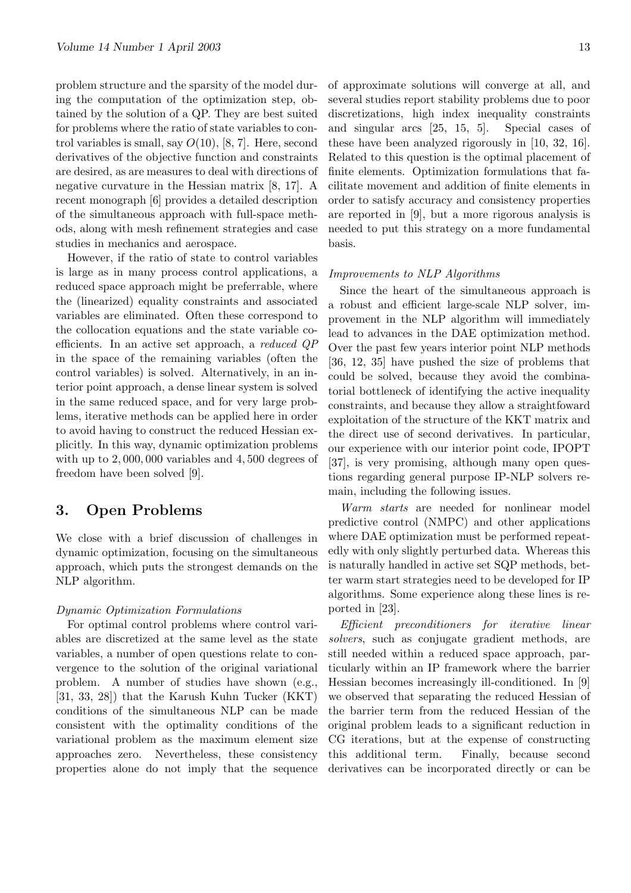problem structure and the sparsity of the model during the computation of the optimization step, obtained by the solution of a QP. They are best suited for problems where the ratio of state variables to control variables is small, say  $O(10)$ , [8, 7]. Here, second derivatives of the objective function and constraints are desired, as are measures to deal with directions of negative curvature in the Hessian matrix [8, 17]. A recent monograph [6] provides a detailed description of the simultaneous approach with full-space methods, along with mesh refinement strategies and case studies in mechanics and aerospace.

However, if the ratio of state to control variables is large as in many process control applications, a reduced space approach might be preferrable, where the (linearized) equality constraints and associated variables are eliminated. Often these correspond to the collocation equations and the state variable coefficients. In an active set approach, a reduced QP in the space of the remaining variables (often the control variables) is solved. Alternatively, in an interior point approach, a dense linear system is solved in the same reduced space, and for very large problems, iterative methods can be applied here in order to avoid having to construct the reduced Hessian explicitly. In this way, dynamic optimization problems with up to 2, 000, 000 variables and 4, 500 degrees of freedom have been solved [9].

### 3. Open Problems

We close with a brief discussion of challenges in dynamic optimization, focusing on the simultaneous approach, which puts the strongest demands on the NLP algorithm.

#### Dynamic Optimization Formulations

For optimal control problems where control variables are discretized at the same level as the state variables, a number of open questions relate to convergence to the solution of the original variational problem. A number of studies have shown (e.g., [31, 33, 28]) that the Karush Kuhn Tucker (KKT) conditions of the simultaneous NLP can be made consistent with the optimality conditions of the variational problem as the maximum element size approaches zero. Nevertheless, these consistency properties alone do not imply that the sequence of approximate solutions will converge at all, and several studies report stability problems due to poor discretizations, high index inequality constraints and singular arcs [25, 15, 5]. Special cases of these have been analyzed rigorously in [10, 32, 16]. Related to this question is the optimal placement of finite elements. Optimization formulations that facilitate movement and addition of finite elements in order to satisfy accuracy and consistency properties are reported in [9], but a more rigorous analysis is needed to put this strategy on a more fundamental basis.

#### Improvements to NLP Algorithms

Since the heart of the simultaneous approach is a robust and efficient large-scale NLP solver, improvement in the NLP algorithm will immediately lead to advances in the DAE optimization method. Over the past few years interior point NLP methods [36, 12, 35] have pushed the size of problems that could be solved, because they avoid the combinatorial bottleneck of identifying the active inequality constraints, and because they allow a straightfoward exploitation of the structure of the KKT matrix and the direct use of second derivatives. In particular, our experience with our interior point code, IPOPT [37], is very promising, although many open questions regarding general purpose IP-NLP solvers remain, including the following issues.

Warm starts are needed for nonlinear model predictive control (NMPC) and other applications where DAE optimization must be performed repeatedly with only slightly perturbed data. Whereas this is naturally handled in active set SQP methods, better warm start strategies need to be developed for IP algorithms. Some experience along these lines is reported in [23].

Efficient preconditioners for iterative linear solvers, such as conjugate gradient methods, are still needed within a reduced space approach, particularly within an IP framework where the barrier Hessian becomes increasingly ill-conditioned. In [9] we observed that separating the reduced Hessian of the barrier term from the reduced Hessian of the original problem leads to a significant reduction in CG iterations, but at the expense of constructing this additional term. Finally, because second derivatives can be incorporated directly or can be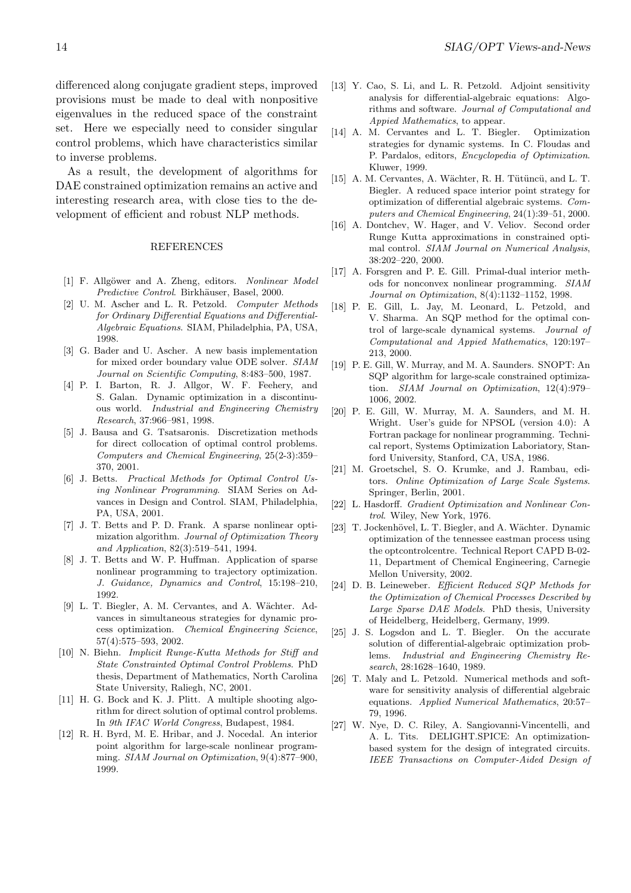differenced along conjugate gradient steps, improved provisions must be made to deal with nonpositive eigenvalues in the reduced space of the constraint set. Here we especially need to consider singular control problems, which have characteristics similar to inverse problems.

As a result, the development of algorithms for DAE constrained optimization remains an active and interesting research area, with close ties to the development of efficient and robust NLP methods.

#### REFERENCES

- [1] F. Allgöwer and A. Zheng, editors. Nonlinear Model Predictive Control. Birkhäuser, Basel, 2000.
- [2] U. M. Ascher and L. R. Petzold. Computer Methods for Ordinary Differential Equations and Differential-Algebraic Equations. SIAM, Philadelphia, PA, USA, 1998.
- [3] G. Bader and U. Ascher. A new basis implementation for mixed order boundary value ODE solver. SIAM Journal on Scientific Computing, 8:483–500, 1987.
- [4] P. I. Barton, R. J. Allgor, W. F. Feehery, and S. Galan. Dynamic optimization in a discontinuous world. Industrial and Engineering Chemistry Research, 37:966–981, 1998.
- [5] J. Bausa and G. Tsatsaronis. Discretization methods for direct collocation of optimal control problems. Computers and Chemical Engineering, 25(2-3):359– 370, 2001.
- [6] J. Betts. Practical Methods for Optimal Control Using Nonlinear Programming. SIAM Series on Advances in Design and Control. SIAM, Philadelphia, PA, USA, 2001.
- [7] J. T. Betts and P. D. Frank. A sparse nonlinear optimization algorithm. Journal of Optimization Theory and Application, 82(3):519–541, 1994.
- [8] J. T. Betts and W. P. Huffman. Application of sparse nonlinear programming to trajectory optimization. J. Guidance, Dynamics and Control, 15:198–210, 1992.
- [9] L. T. Biegler, A. M. Cervantes, and A. Wächter. Advances in simultaneous strategies for dynamic process optimization. Chemical Engineering Science, 57(4):575–593, 2002.
- [10] N. Biehn. Implicit Runge-Kutta Methods for Stiff and State Constrainted Optimal Control Problems. PhD thesis, Department of Mathematics, North Carolina State University, Raliegh, NC, 2001.
- [11] H. G. Bock and K. J. Plitt. A multiple shooting algorithm for direct solution of optimal control problems. In 9th IFAC World Congress, Budapest, 1984.
- [12] R. H. Byrd, M. E. Hribar, and J. Nocedal. An interior point algorithm for large-scale nonlinear programming. SIAM Journal on Optimization, 9(4):877–900, 1999.
- [13] Y. Cao, S. Li, and L. R. Petzold. Adjoint sensitivity analysis for differential-algebraic equations: Algorithms and software. Journal of Computational and Appied Mathematics, to appear.
- [14] A. M. Cervantes and L. T. Biegler. Optimization strategies for dynamic systems. In C. Floudas and P. Pardalos, editors, Encyclopedia of Optimization. Kluwer, 1999.
- [15] A. M. Cervantes, A. Wächter, R. H. Tütüncü, and L. T. Biegler. A reduced space interior point strategy for optimization of differential algebraic systems. Computers and Chemical Engineering, 24(1):39–51, 2000.
- [16] A. Dontchev, W. Hager, and V. Veliov. Second order Runge Kutta approximations in constrained optimal control. SIAM Journal on Numerical Analysis, 38:202–220, 2000.
- [17] A. Forsgren and P. E. Gill. Primal-dual interior methods for nonconvex nonlinear programming. SIAM Journal on Optimization, 8(4):1132–1152, 1998.
- [18] P. E. Gill, L. Jay, M. Leonard, L. Petzold, and V. Sharma. An SQP method for the optimal control of large-scale dynamical systems. Journal of Computational and Appied Mathematics, 120:197– 213, 2000.
- [19] P. E. Gill, W. Murray, and M. A. Saunders. SNOPT: An SQP algorithm for large-scale constrained optimization. SIAM Journal on Optimization, 12(4):979– 1006, 2002.
- [20] P. E. Gill, W. Murray, M. A. Saunders, and M. H. Wright. User's guide for NPSOL (version 4.0): A Fortran package for nonlinear programming. Technical report, Systems Optimization Laboriatory, Stanford University, Stanford, CA, USA, 1986.
- [21] M. Groetschel, S. O. Krumke, and J. Rambau, editors. Online Optimization of Large Scale Systems. Springer, Berlin, 2001.
- [22] L. Hasdorff. Gradient Optimization and Nonlinear Control. Wiley, New York, 1976.
- [23] T. Jockenhövel, L. T. Biegler, and A. Wächter. Dynamic optimization of the tennessee eastman process using the optcontrolcentre. Technical Report CAPD B-02- 11, Department of Chemical Engineering, Carnegie Mellon University, 2002.
- [24] D. B. Leineweber. Efficient Reduced SQP Methods for the Optimization of Chemical Processes Described by Large Sparse DAE Models. PhD thesis, University of Heidelberg, Heidelberg, Germany, 1999.
- [25] J. S. Logsdon and L. T. Biegler. On the accurate solution of differential-algebraic optimization problems. Industrial and Engineering Chemistry Research, 28:1628–1640, 1989.
- [26] T. Maly and L. Petzold. Numerical methods and software for sensitivity analysis of differential algebraic equations. Applied Numerical Mathematics, 20:57– 79, 1996.
- [27] W. Nye, D. C. Riley, A. Sangiovanni-Vincentelli, and A. L. Tits. DELIGHT.SPICE: An optimizationbased system for the design of integrated circuits. IEEE Transactions on Computer-Aided Design of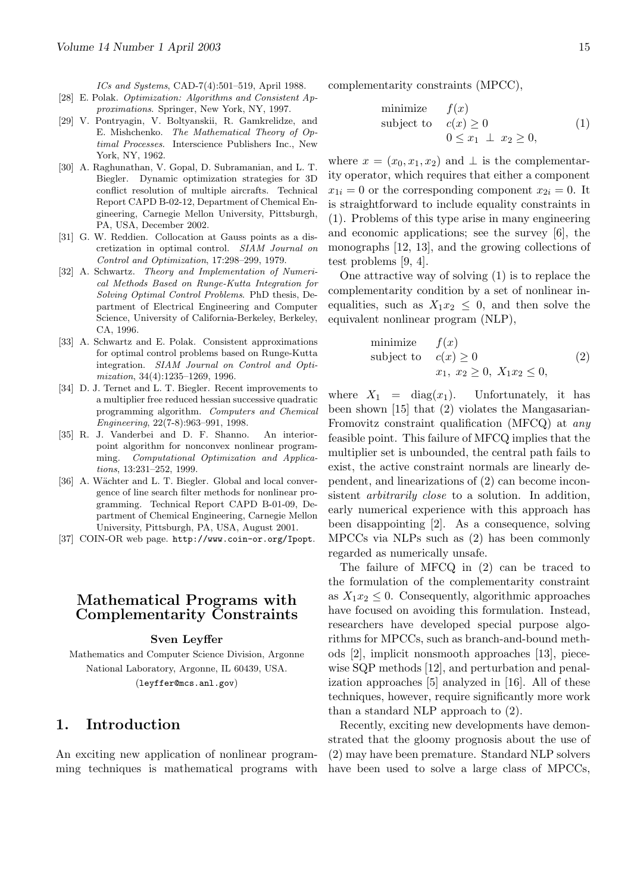ICs and Systems, CAD-7(4):501–519, April 1988.

- [28] E. Polak. Optimization: Algorithms and Consistent Approximations. Springer, New York, NY, 1997.
- [29] V. Pontryagin, V. Boltyanskii, R. Gamkrelidze, and E. Mishchenko. The Mathematical Theory of Optimal Processes. Interscience Publishers Inc., New York, NY, 1962.
- [30] A. Raghunathan, V. Gopal, D. Subramanian, and L. T. Biegler. Dynamic optimization strategies for 3D conflict resolution of multiple aircrafts. Technical Report CAPD B-02-12, Department of Chemical Engineering, Carnegie Mellon University, Pittsburgh, PA, USA, December 2002.
- [31] G. W. Reddien. Collocation at Gauss points as a discretization in optimal control. SIAM Journal on Control and Optimization, 17:298–299, 1979.
- [32] A. Schwartz. Theory and Implementation of Numerical Methods Based on Runge-Kutta Integration for Solving Optimal Control Problems. PhD thesis, Department of Electrical Engineering and Computer Science, University of California-Berkeley, Berkeley, CA, 1996.
- [33] A. Schwartz and E. Polak. Consistent approximations for optimal control problems based on Runge-Kutta integration. SIAM Journal on Control and Optimization, 34(4):1235–1269, 1996.
- [34] D. J. Ternet and L. T. Biegler. Recent improvements to a multiplier free reduced hessian successive quadratic programming algorithm. Computers and Chemical Engineering, 22(7-8):963–991, 1998.
- [35] R. J. Vanderbei and D. F. Shanno. An interiorpoint algorithm for nonconvex nonlinear programming. Computational Optimization and Applications, 13:231–252, 1999.
- [36] A. Wächter and L. T. Biegler. Global and local convergence of line search filter methods for nonlinear programming. Technical Report CAPD B-01-09, Department of Chemical Engineering, Carnegie Mellon University, Pittsburgh, PA, USA, August 2001.
- [37] COIN-OR web page. http://www.coin-or.org/Ipopt.

### Mathematical Programs with Complementarity Constraints

#### Sven Leyffer

Mathematics and Computer Science Division, Argonne National Laboratory, Argonne, IL 60439, USA. (leyffer@mcs.anl.gov)

### 1. Introduction

An exciting new application of nonlinear programming techniques is mathematical programs with complementarity constraints (MPCC),

minimize 
$$
f(x)
$$
  
subject to  $c(x) \ge 0$   
 $0 \le x_1 \perp x_2 \ge 0$ , (1)

where  $x = (x_0, x_1, x_2)$  and  $\perp$  is the complementarity operator, which requires that either a component  $x_{1i} = 0$  or the corresponding component  $x_{2i} = 0$ . It is straightforward to include equality constraints in (1). Problems of this type arise in many engineering and economic applications; see the survey [6], the monographs [12, 13], and the growing collections of test problems [9, 4].

One attractive way of solving (1) is to replace the complementarity condition by a set of nonlinear inequalities, such as  $X_1x_2 \leq 0$ , and then solve the equivalent nonlinear program (NLP),

minimize 
$$
f(x)
$$
  
subject to  $c(x) \ge 0$   
 $x_1, x_2 \ge 0, X_1x_2 \le 0,$  (2)

where  $X_1 = \text{diag}(x_1)$ . Unfortunately, it has been shown [15] that (2) violates the Mangasarian-Fromovitz constraint qualification (MFCQ) at any feasible point. This failure of MFCQ implies that the multiplier set is unbounded, the central path fails to exist, the active constraint normals are linearly dependent, and linearizations of (2) can become inconsistent *arbitrarily close* to a solution. In addition, early numerical experience with this approach has been disappointing [2]. As a consequence, solving MPCCs via NLPs such as (2) has been commonly regarded as numerically unsafe.

The failure of MFCQ in (2) can be traced to the formulation of the complementarity constraint as  $X_1x_2 \leq 0$ . Consequently, algorithmic approaches have focused on avoiding this formulation. Instead, researchers have developed special purpose algorithms for MPCCs, such as branch-and-bound methods [2], implicit nonsmooth approaches [13], piecewise SQP methods [12], and perturbation and penalization approaches [5] analyzed in [16]. All of these techniques, however, require significantly more work than a standard NLP approach to (2).

Recently, exciting new developments have demonstrated that the gloomy prognosis about the use of (2) may have been premature. Standard NLP solvers have been used to solve a large class of MPCCs,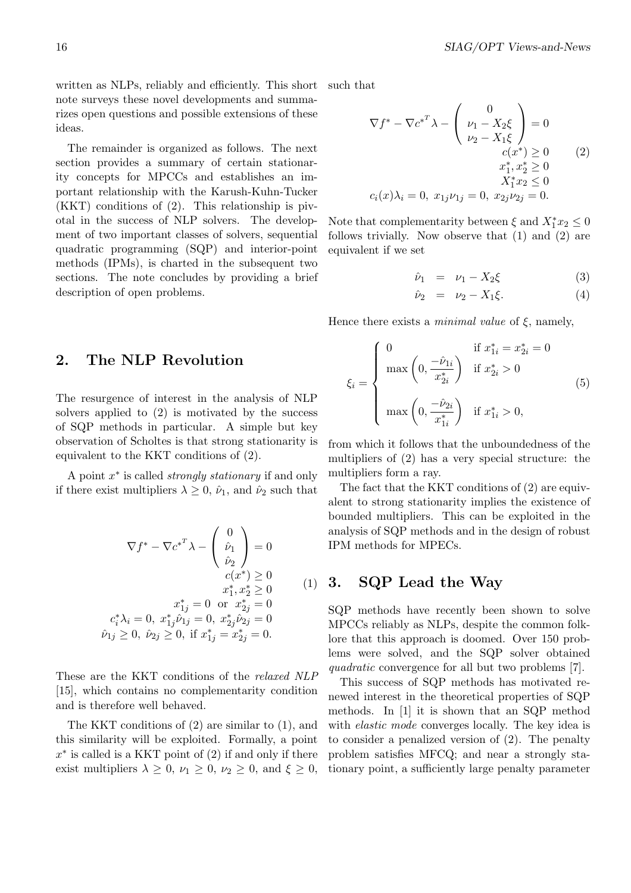written as NLPs, reliably and efficiently. This short note surveys these novel developments and summarizes open questions and possible extensions of these ideas.

The remainder is organized as follows. The next section provides a summary of certain stationarity concepts for MPCCs and establishes an important relationship with the Karush-Kuhn-Tucker (KKT) conditions of (2). This relationship is pivotal in the success of NLP solvers. The development of two important classes of solvers, sequential quadratic programming (SQP) and interior-point methods (IPMs), is charted in the subsequent two sections. The note concludes by providing a brief description of open problems.

### 2. The NLP Revolution

The resurgence of interest in the analysis of NLP solvers applied to (2) is motivated by the success of SQP methods in particular. A simple but key observation of Scholtes is that strong stationarity is equivalent to the KKT conditions of (2).

A point  $x^*$  is called *strongly stationary* if and only if there exist multipliers  $\lambda \geq 0$ ,  $\hat{\nu}_1$ , and  $\hat{\nu}_2$  such that

$$
\nabla f^* - \nabla c^{*T} \lambda - \begin{pmatrix} 0 \\ \hat{\nu}_1 \\ \hat{\nu}_2 \end{pmatrix} = 0
$$
  
\n
$$
c(x^*) \ge 0
$$
  
\n
$$
x_1^*, x_2^* \ge 0
$$
  
\n
$$
x_1^*, x_2^* \ge 0
$$
  
\n
$$
c_i^* \lambda_i = 0, x_{1j}^* \hat{\nu}_{1j} = 0, x_{2j}^* \hat{\nu}_{2j} = 0
$$
  
\n
$$
\hat{\nu}_{1j} \ge 0, \ \hat{\nu}_{2j} \ge 0, \text{ if } x_{1j}^* = x_{2j}^* = 0.
$$

These are the KKT conditions of the relaxed NLP [15], which contains no complementarity condition and is therefore well behaved.

The KKT conditions of (2) are similar to (1), and this similarity will be exploited. Formally, a point  $x^*$  is called is a KKT point of  $(2)$  if and only if there exist multipliers  $\lambda \geq 0$ ,  $\nu_1 \geq 0$ ,  $\nu_2 \geq 0$ , and  $\xi \geq 0$ , such that

$$
\nabla f^* - \nabla c^{*T} \lambda - \begin{pmatrix} 0 \\ \nu_1 - X_2 \xi \\ \nu_2 - X_1 \xi \end{pmatrix} = 0
$$
  
\n
$$
c(x^*) \ge 0 \qquad (2)
$$
  
\n
$$
x_1^*, x_2^* \ge 0
$$
  
\n
$$
c_i(x) \lambda_i = 0, x_{1j} \nu_{1j} = 0, x_{2j} \nu_{2j} = 0.
$$

Note that complementarity between  $\xi$  and  $X_1^* x_2 \leq 0$ follows trivially. Now observe that (1) and (2) are equivalent if we set

$$
\hat{\nu}_1 = \nu_1 - X_2 \xi \tag{3}
$$

$$
\hat{\nu}_2 = \nu_2 - X_1 \xi. \tag{4}
$$

Hence there exists a *minimal value* of  $\xi$ , namely,

$$
\xi_i = \begin{cases}\n0 & \text{if } x_{1i}^* = x_{2i}^* = 0 \\
\max\left(0, \frac{-\hat{\nu}_{1i}}{x_{2i}^*}\right) & \text{if } x_{2i}^* > 0 \\
\max\left(0, \frac{-\hat{\nu}_{2i}}{x_{1i}^*}\right) & \text{if } x_{1i}^* > 0,\n\end{cases}
$$
\n(5)

from which it follows that the unboundedness of the multipliers of (2) has a very special structure: the multipliers form a ray.

The fact that the KKT conditions of (2) are equivalent to strong stationarity implies the existence of bounded multipliers. This can be exploited in the analysis of SQP methods and in the design of robust IPM methods for MPECs.

#### (1) 3. SQP Lead the Way

SQP methods have recently been shown to solve MPCCs reliably as NLPs, despite the common folklore that this approach is doomed. Over 150 problems were solved, and the SQP solver obtained quadratic convergence for all but two problems [7].

This success of SQP methods has motivated renewed interest in the theoretical properties of SQP methods. In [1] it is shown that an SQP method with *elastic mode* converges locally. The key idea is to consider a penalized version of (2). The penalty problem satisfies MFCQ; and near a strongly stationary point, a sufficiently large penalty parameter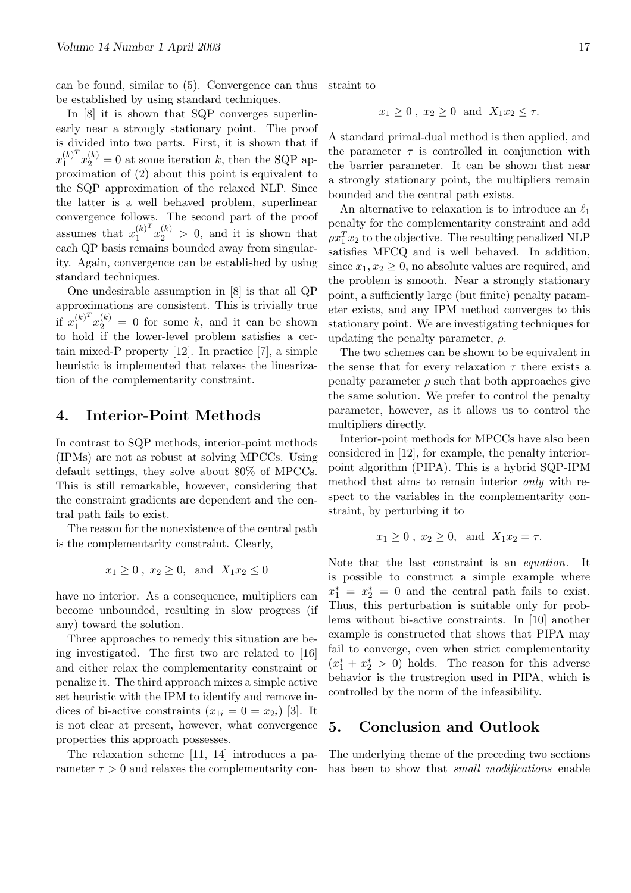can be found, similar to (5). Convergence can thus be established by using standard techniques. straint to

In [8] it is shown that SQP converges superlinearly near a strongly stationary point. The proof is divided into two parts. First, it is shown that if  $x_1^{(k)}$ <sup>T</sup>  $\int_1^{(k)T} x_2^{(k)} = 0$  at some iteration k, then the SQP approximation of (2) about this point is equivalent to the SQP approximation of the relaxed NLP. Since the latter is a well behaved problem, superlinear convergence follows. The second part of the proof assumes that  $x_1^{(k)^T}$  $\int_1^{(k)^T} x_2^{(k)} > 0$ , and it is shown that each QP basis remains bounded away from singularity. Again, convergence can be established by using standard techniques.

One undesirable assumption in [8] is that all QP approximations are consistent. This is trivially true if  $x_1^{(k)^T}$  $\int_1^{(k)^T} x_2^{(k)} = 0$  for some k, and it can be shown to hold if the lower-level problem satisfies a certain mixed-P property [12]. In practice [7], a simple heuristic is implemented that relaxes the linearization of the complementarity constraint.

### 4. Interior-Point Methods

In contrast to SQP methods, interior-point methods (IPMs) are not as robust at solving MPCCs. Using default settings, they solve about 80% of MPCCs. This is still remarkable, however, considering that the constraint gradients are dependent and the central path fails to exist.

The reason for the nonexistence of the central path is the complementarity constraint. Clearly,

$$
x_1 \ge 0
$$
,  $x_2 \ge 0$ , and  $X_1 x_2 \le 0$ 

have no interior. As a consequence, multipliers can become unbounded, resulting in slow progress (if any) toward the solution.

Three approaches to remedy this situation are being investigated. The first two are related to [16] and either relax the complementarity constraint or penalize it. The third approach mixes a simple active set heuristic with the IPM to identify and remove indices of bi-active constraints  $(x_{1i} = 0 = x_{2i})$  [3]. It is not clear at present, however, what convergence properties this approach possesses.

The relaxation scheme [11, 14] introduces a parameter  $\tau > 0$  and relaxes the complementarity con-

$$
x_1 \ge 0, x_2 \ge 0 \text{ and } X_1 x_2 \le \tau.
$$

A standard primal-dual method is then applied, and the parameter  $\tau$  is controlled in conjunction with the barrier parameter. It can be shown that near a strongly stationary point, the multipliers remain bounded and the central path exists.

An alternative to relaxation is to introduce an  $\ell_1$ penalty for the complementarity constraint and add  $\rho x_1^T x_2$  to the objective. The resulting penalized NLP satisfies MFCQ and is well behaved. In addition, since  $x_1, x_2 \geq 0$ , no absolute values are required, and the problem is smooth. Near a strongly stationary point, a sufficiently large (but finite) penalty parameter exists, and any IPM method converges to this stationary point. We are investigating techniques for updating the penalty parameter,  $\rho$ .

The two schemes can be shown to be equivalent in the sense that for every relaxation  $\tau$  there exists a penalty parameter  $\rho$  such that both approaches give the same solution. We prefer to control the penalty parameter, however, as it allows us to control the multipliers directly.

Interior-point methods for MPCCs have also been considered in [12], for example, the penalty interiorpoint algorithm (PIPA). This is a hybrid SQP-IPM method that aims to remain interior only with respect to the variables in the complementarity constraint, by perturbing it to

$$
x_1 \ge 0
$$
,  $x_2 \ge 0$ , and  $X_1 x_2 = \tau$ .

Note that the last constraint is an equation. It is possible to construct a simple example where  $x_1^* = x_2^* = 0$  and the central path fails to exist. Thus, this perturbation is suitable only for problems without bi-active constraints. In [10] another example is constructed that shows that PIPA may fail to converge, even when strict complementarity  $(x_1^* + x_2^* > 0)$  holds. The reason for this adverse behavior is the trustregion used in PIPA, which is controlled by the norm of the infeasibility.

### 5. Conclusion and Outlook

The underlying theme of the preceding two sections has been to show that *small modifications* enable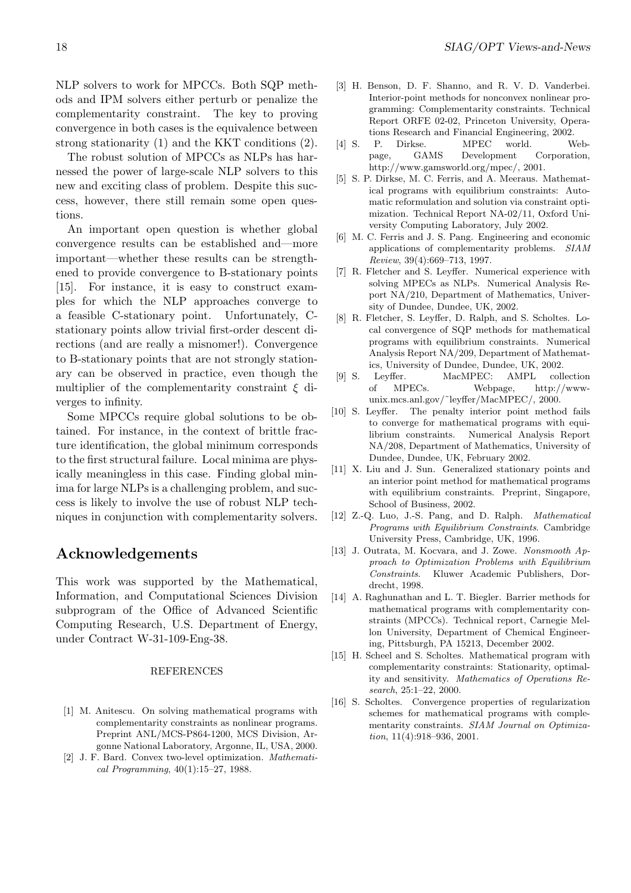NLP solvers to work for MPCCs. Both SQP methods and IPM solvers either perturb or penalize the complementarity constraint. The key to proving convergence in both cases is the equivalence between strong stationarity (1) and the KKT conditions (2).

The robust solution of MPCCs as NLPs has harnessed the power of large-scale NLP solvers to this new and exciting class of problem. Despite this success, however, there still remain some open questions.

An important open question is whether global convergence results can be established and—more important—whether these results can be strengthened to provide convergence to B-stationary points [15]. For instance, it is easy to construct examples for which the NLP approaches converge to a feasible C-stationary point. Unfortunately, Cstationary points allow trivial first-order descent directions (and are really a misnomer!). Convergence to B-stationary points that are not strongly stationary can be observed in practice, even though the multiplier of the complementarity constraint  $\xi$  diverges to infinity.

Some MPCCs require global solutions to be obtained. For instance, in the context of brittle fracture identification, the global minimum corresponds to the first structural failure. Local minima are physically meaningless in this case. Finding global minima for large NLPs is a challenging problem, and success is likely to involve the use of robust NLP techniques in conjunction with complementarity solvers.

### Acknowledgements

This work was supported by the Mathematical, Information, and Computational Sciences Division subprogram of the Office of Advanced Scientific Computing Research, U.S. Department of Energy, under Contract W-31-109-Eng-38.

#### REFERENCES

- [1] M. Anitescu. On solving mathematical programs with complementarity constraints as nonlinear programs. Preprint ANL/MCS-P864-1200, MCS Division, Argonne National Laboratory, Argonne, IL, USA, 2000.
- [2] J. F. Bard. Convex two-level optimization. Mathematical Programming, 40(1):15–27, 1988.
- [3] H. Benson, D. F. Shanno, and R. V. D. Vanderbei. Interior-point methods for nonconvex nonlinear programming: Complementarity constraints. Technical Report ORFE 02-02, Princeton University, Operations Research and Financial Engineering, 2002.
- [4] S. P. Dirkse. MPEC world. Webpage, GAMS Development Corporation, http://www.gamsworld.org/mpec/, 2001.
- [5] S. P. Dirkse, M. C. Ferris, and A. Meeraus. Mathematical programs with equilibrium constraints: Automatic reformulation and solution via constraint optimization. Technical Report NA-02/11, Oxford University Computing Laboratory, July 2002.
- [6] M. C. Ferris and J. S. Pang. Engineering and economic applications of complementarity problems. SIAM Review, 39(4):669–713, 1997.
- [7] R. Fletcher and S. Leyffer. Numerical experience with solving MPECs as NLPs. Numerical Analysis Report NA/210, Department of Mathematics, University of Dundee, Dundee, UK, 2002.
- [8] R. Fletcher, S. Leyffer, D. Ralph, and S. Scholtes. Local convergence of SQP methods for mathematical programs with equilibrium constraints. Numerical Analysis Report NA/209, Department of Mathematics, University of Dundee, Dundee, UK, 2002.
- [9] S. Leyffer. MacMPEC: AMPL collection of MPECs. Webpage, http://wwwunix.mcs.anl.gov/˜leyffer/MacMPEC/, 2000.
- [10] S. Leyffer. The penalty interior point method fails to converge for mathematical programs with equilibrium constraints. Numerical Analysis Report NA/208, Department of Mathematics, University of Dundee, Dundee, UK, February 2002.
- [11] X. Liu and J. Sun. Generalized stationary points and an interior point method for mathematical programs with equilibrium constraints. Preprint, Singapore, School of Business, 2002.
- [12] Z.-Q. Luo, J.-S. Pang, and D. Ralph. Mathematical Programs with Equilibrium Constraints. Cambridge University Press, Cambridge, UK, 1996.
- [13] J. Outrata, M. Kocvara, and J. Zowe. Nonsmooth Approach to Optimization Problems with Equilibrium Constraints. Kluwer Academic Publishers, Dordrecht, 1998.
- [14] A. Raghunathan and L. T. Biegler. Barrier methods for mathematical programs with complementarity constraints (MPCCs). Technical report, Carnegie Mellon University, Department of Chemical Engineering, Pittsburgh, PA 15213, December 2002.
- [15] H. Scheel and S. Scholtes. Mathematical program with complementarity constraints: Stationarity, optimality and sensitivity. Mathematics of Operations Research, 25:1–22, 2000.
- [16] S. Scholtes. Convergence properties of regularization schemes for mathematical programs with complementarity constraints. SIAM Journal on Optimization, 11(4):918–936, 2001.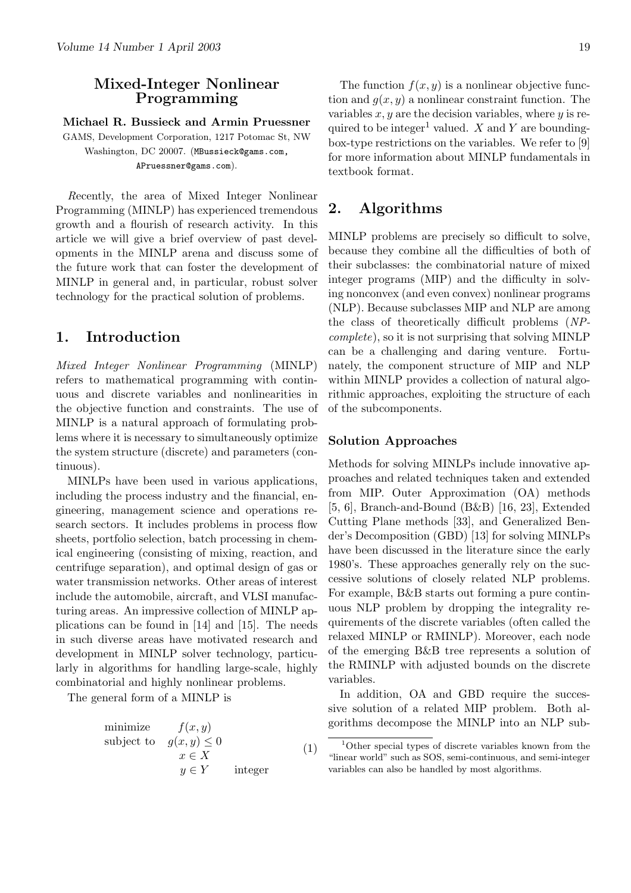### Mixed-Integer Nonlinear Programming

Michael R. Bussieck and Armin Pruessner

GAMS, Development Corporation, 1217 Potomac St, NW Washington, DC 20007. (MBussieck@gams.com, APruessner@gams.com).

Recently, the area of Mixed Integer Nonlinear Programming (MINLP) has experienced tremendous growth and a flourish of research activity. In this article we will give a brief overview of past developments in the MINLP arena and discuss some of the future work that can foster the development of MINLP in general and, in particular, robust solver technology for the practical solution of problems.

### 1. Introduction

Mixed Integer Nonlinear Programming (MINLP) refers to mathematical programming with continuous and discrete variables and nonlinearities in the objective function and constraints. The use of MINLP is a natural approach of formulating problems where it is necessary to simultaneously optimize the system structure (discrete) and parameters (continuous).

MINLPs have been used in various applications, including the process industry and the financial, engineering, management science and operations research sectors. It includes problems in process flow sheets, portfolio selection, batch processing in chemical engineering (consisting of mixing, reaction, and centrifuge separation), and optimal design of gas or water transmission networks. Other areas of interest include the automobile, aircraft, and VLSI manufacturing areas. An impressive collection of MINLP applications can be found in [14] and [15]. The needs in such diverse areas have motivated research and development in MINLP solver technology, particularly in algorithms for handling large-scale, highly combinatorial and highly nonlinear problems.

The general form of a MINLP is

minimize 
$$
f(x, y)
$$
  
\nsubject to  $g(x, y) \le 0$   
\n $x \in X$   
\n $y \in Y$  integer (1)

The function  $f(x, y)$  is a nonlinear objective function and  $q(x, y)$  a nonlinear constraint function. The variables  $x, y$  are the decision variables, where  $y$  is required to be integer<sup>1</sup> valued. X and Y are boundingbox-type restrictions on the variables. We refer to [9] for more information about MINLP fundamentals in textbook format.

### 2. Algorithms

MINLP problems are precisely so difficult to solve, because they combine all the difficulties of both of their subclasses: the combinatorial nature of mixed integer programs (MIP) and the difficulty in solving nonconvex (and even convex) nonlinear programs (NLP). Because subclasses MIP and NLP are among the class of theoretically difficult problems (NPcomplete), so it is not surprising that solving MINLP can be a challenging and daring venture. Fortunately, the component structure of MIP and NLP within MINLP provides a collection of natural algorithmic approaches, exploiting the structure of each of the subcomponents.

#### Solution Approaches

Methods for solving MINLPs include innovative approaches and related techniques taken and extended from MIP. Outer Approximation (OA) methods [5, 6], Branch-and-Bound (B&B) [16, 23], Extended Cutting Plane methods [33], and Generalized Bender's Decomposition (GBD) [13] for solving MINLPs have been discussed in the literature since the early 1980's. These approaches generally rely on the successive solutions of closely related NLP problems. For example, B&B starts out forming a pure continuous NLP problem by dropping the integrality requirements of the discrete variables (often called the relaxed MINLP or RMINLP). Moreover, each node of the emerging B&B tree represents a solution of the RMINLP with adjusted bounds on the discrete variables.

In addition, OA and GBD require the successive solution of a related MIP problem. Both algorithms decompose the MINLP into an NLP sub-

<sup>1</sup>Other special types of discrete variables known from the "linear world" such as SOS, semi-continuous, and semi-integer variables can also be handled by most algorithms.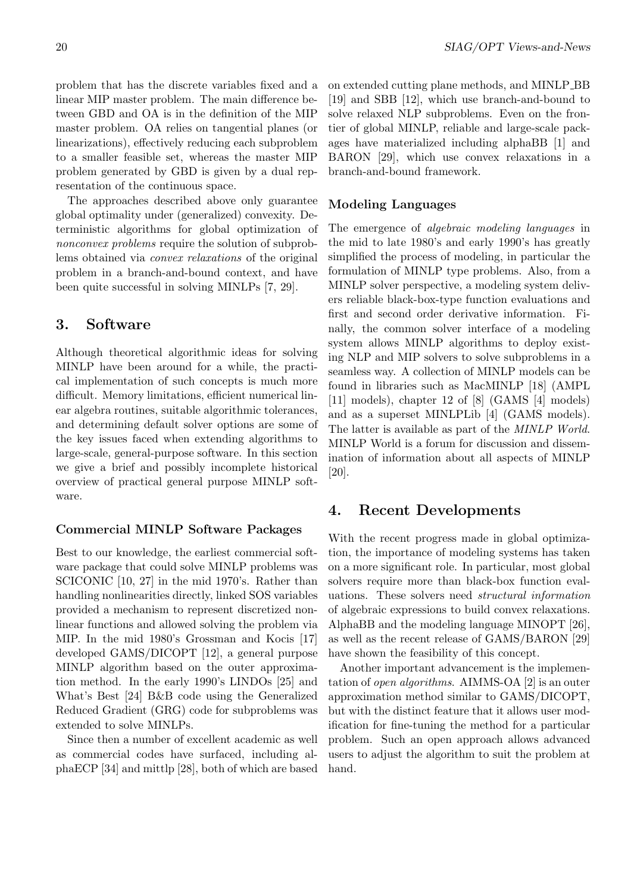problem that has the discrete variables fixed and a linear MIP master problem. The main difference between GBD and OA is in the definition of the MIP master problem. OA relies on tangential planes (or linearizations), effectively reducing each subproblem to a smaller feasible set, whereas the master MIP problem generated by GBD is given by a dual representation of the continuous space.

The approaches described above only guarantee global optimality under (generalized) convexity. Deterministic algorithms for global optimization of nonconvex problems require the solution of subproblems obtained via convex relaxations of the original problem in a branch-and-bound context, and have been quite successful in solving MINLPs [7, 29].

### 3. Software

Although theoretical algorithmic ideas for solving MINLP have been around for a while, the practical implementation of such concepts is much more difficult. Memory limitations, efficient numerical linear algebra routines, suitable algorithmic tolerances, and determining default solver options are some of the key issues faced when extending algorithms to large-scale, general-purpose software. In this section we give a brief and possibly incomplete historical overview of practical general purpose MINLP software.

#### Commercial MINLP Software Packages

Best to our knowledge, the earliest commercial software package that could solve MINLP problems was SCICONIC [10, 27] in the mid 1970's. Rather than handling nonlinearities directly, linked SOS variables provided a mechanism to represent discretized nonlinear functions and allowed solving the problem via MIP. In the mid 1980's Grossman and Kocis [17] developed GAMS/DICOPT [12], a general purpose MINLP algorithm based on the outer approximation method. In the early 1990's LINDOs [25] and What's Best [24] B&B code using the Generalized Reduced Gradient (GRG) code for subproblems was extended to solve MINLPs.

Since then a number of excellent academic as well as commercial codes have surfaced, including alphaECP [34] and mittlp [28], both of which are based on extended cutting plane methods, and MINLP BB [19] and SBB [12], which use branch-and-bound to solve relaxed NLP subproblems. Even on the frontier of global MINLP, reliable and large-scale packages have materialized including alphaBB [1] and BARON [29], which use convex relaxations in a branch-and-bound framework.

### Modeling Languages

The emergence of *algebraic modeling languages* in the mid to late 1980's and early 1990's has greatly simplified the process of modeling, in particular the formulation of MINLP type problems. Also, from a MINLP solver perspective, a modeling system delivers reliable black-box-type function evaluations and first and second order derivative information. Finally, the common solver interface of a modeling system allows MINLP algorithms to deploy existing NLP and MIP solvers to solve subproblems in a seamless way. A collection of MINLP models can be found in libraries such as MacMINLP [18] (AMPL [11] models), chapter 12 of [8] (GAMS [4] models) and as a superset MINLPLib [4] (GAMS models). The latter is available as part of the MINLP World. MINLP World is a forum for discussion and dissemination of information about all aspects of MINLP [20].

### 4. Recent Developments

With the recent progress made in global optimization, the importance of modeling systems has taken on a more significant role. In particular, most global solvers require more than black-box function evaluations. These solvers need structural information of algebraic expressions to build convex relaxations. AlphaBB and the modeling language MINOPT [26], as well as the recent release of GAMS/BARON [29] have shown the feasibility of this concept.

Another important advancement is the implementation of open algorithms. AIMMS-OA [2] is an outer approximation method similar to GAMS/DICOPT, but with the distinct feature that it allows user modification for fine-tuning the method for a particular problem. Such an open approach allows advanced users to adjust the algorithm to suit the problem at hand.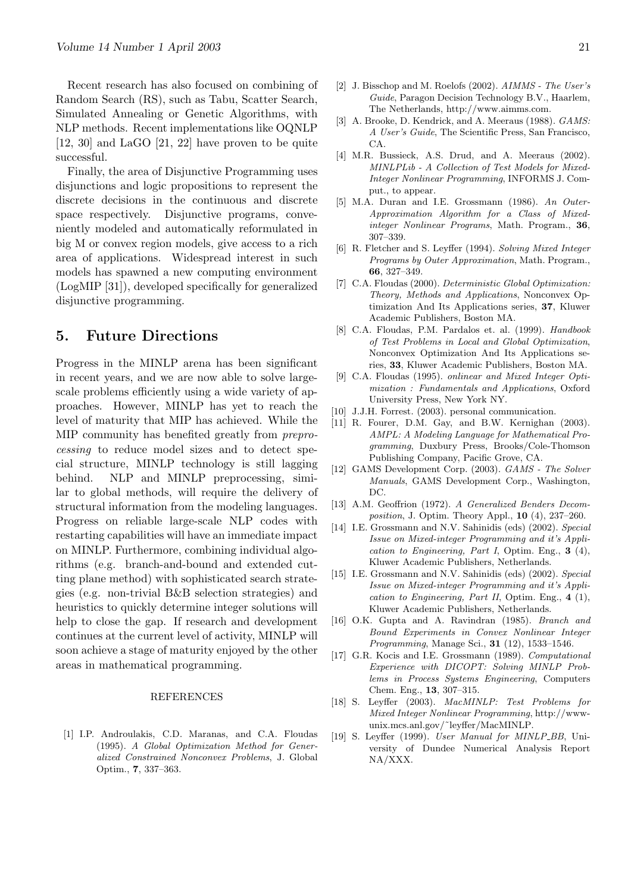Recent research has also focused on combining of Random Search (RS), such as Tabu, Scatter Search, Simulated Annealing or Genetic Algorithms, with NLP methods. Recent implementations like OQNLP [12, 30] and LaGO [21, 22] have proven to be quite successful.

Finally, the area of Disjunctive Programming uses disjunctions and logic propositions to represent the discrete decisions in the continuous and discrete space respectively. Disjunctive programs, conveniently modeled and automatically reformulated in big M or convex region models, give access to a rich area of applications. Widespread interest in such models has spawned a new computing environment (LogMIP [31]), developed specifically for generalized disjunctive programming.

### 5. Future Directions

Progress in the MINLP arena has been significant in recent years, and we are now able to solve largescale problems efficiently using a wide variety of approaches. However, MINLP has yet to reach the level of maturity that MIP has achieved. While the MIP community has benefited greatly from preprocessing to reduce model sizes and to detect special structure, MINLP technology is still lagging behind. NLP and MINLP preprocessing, similar to global methods, will require the delivery of structural information from the modeling languages. Progress on reliable large-scale NLP codes with restarting capabilities will have an immediate impact on MINLP. Furthermore, combining individual algorithms (e.g. branch-and-bound and extended cutting plane method) with sophisticated search strategies (e.g. non-trivial B&B selection strategies) and heuristics to quickly determine integer solutions will help to close the gap. If research and development continues at the current level of activity, MINLP will soon achieve a stage of maturity enjoyed by the other areas in mathematical programming.

#### REFERENCES

[1] I.P. Androulakis, C.D. Maranas, and C.A. Floudas (1995). A Global Optimization Method for Generalized Constrained Nonconvex Problems, J. Global Optim., 7, 337–363.

- [2] J. Bisschop and M. Roelofs (2002). AIMMS The User's Guide, Paragon Decision Technology B.V., Haarlem, The Netherlands, http://www.aimms.com.
- [3] A. Brooke, D. Kendrick, and A. Meeraus (1988). GAMS: A User's Guide, The Scientific Press, San Francisco, CA.
- [4] M.R. Bussieck, A.S. Drud, and A. Meeraus (2002). MINLPLib - A Collection of Test Models for Mixed-Integer Nonlinear Programming, INFORMS J. Comput., to appear.
- [5] M.A. Duran and I.E. Grossmann (1986). An Outer-Approximation Algorithm for a Class of Mixedinteger Nonlinear Programs, Math. Program., 36, 307–339.
- [6] R. Fletcher and S. Leyffer (1994). Solving Mixed Integer Programs by Outer Approximation, Math. Program., 66, 327–349.
- [7] C.A. Floudas (2000). Deterministic Global Optimization: Theory, Methods and Applications, Nonconvex Optimization And Its Applications series, 37, Kluwer Academic Publishers, Boston MA.
- [8] C.A. Floudas, P.M. Pardalos et. al. (1999). Handbook of Test Problems in Local and Global Optimization, Nonconvex Optimization And Its Applications series, 33, Kluwer Academic Publishers, Boston MA.
- [9] C.A. Floudas (1995). onlinear and Mixed Integer Optimization : Fundamentals and Applications, Oxford University Press, New York NY.
- [10] J.J.H. Forrest. (2003). personal communication.
- [11] R. Fourer, D.M. Gay, and B.W. Kernighan (2003). AMPL: A Modeling Language for Mathematical Programming, Duxbury Press, Brooks/Cole-Thomson Publishing Company, Pacific Grove, CA.
- [12] GAMS Development Corp. (2003). GAMS The Solver Manuals, GAMS Development Corp., Washington, DC.
- [13] A.M. Geoffrion (1972). A Generalized Benders Decomposition, J. Optim. Theory Appl., 10 (4), 237–260.
- [14] I.E. Grossmann and N.V. Sahinidis (eds) (2002). Special Issue on Mixed-integer Programming and it's Application to Engineering, Part I, Optim. Eng.,  $3$  (4), Kluwer Academic Publishers, Netherlands.
- [15] I.E. Grossmann and N.V. Sahinidis (eds) (2002). Special Issue on Mixed-integer Programming and it's Application to Engineering, Part II, Optim. Eng., 4 (1), Kluwer Academic Publishers, Netherlands.
- [16] O.K. Gupta and A. Ravindran (1985). Branch and Bound Experiments in Convex Nonlinear Integer Programming, Manage Sci., 31 (12), 1533–1546.
- [17] G.R. Kocis and I.E. Grossmann (1989). Computational Experience with DICOPT: Solving MINLP Problems in Process Systems Engineering, Computers Chem. Eng., 13, 307–315.
- [18] S. Leyffer (2003). MacMINLP: Test Problems for Mixed Integer Nonlinear Programming, http://wwwunix.mcs.anl.gov/˜leyffer/MacMINLP.
- [19] S. Leyffer (1999). User Manual for MINLP\_BB, University of Dundee Numerical Analysis Report NA/XXX.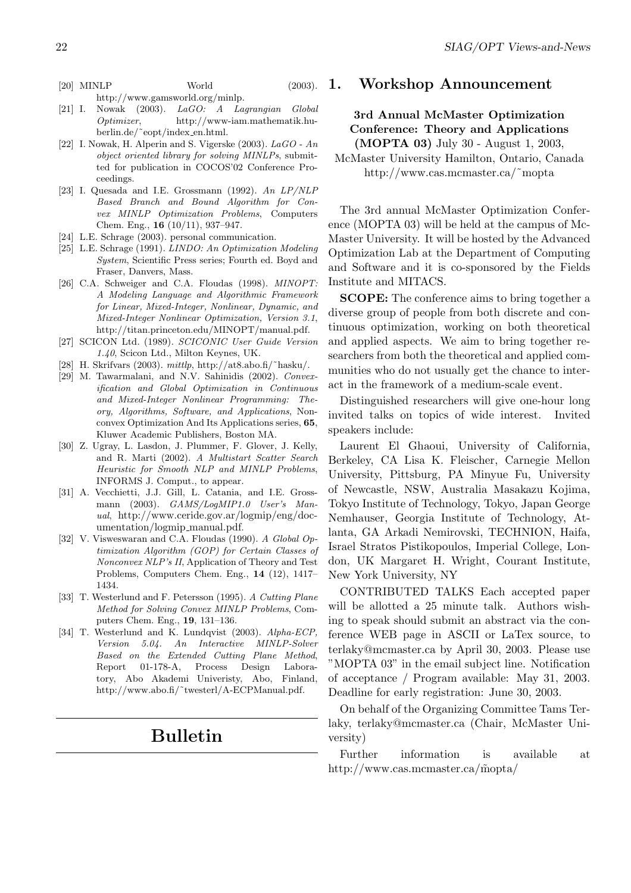[20] MINLP World (2003).

http://www.gamsworld.org/minlp.

- [21] I. Nowak (2003). LaGO: A Lagrangian Global Optimizer, http://www-iam.mathematik.huberlin.de/˜eopt/index en.html.
- [22] I. Nowak, H. Alperin and S. Vigerske (2003). LaGO An object oriented library for solving MINLPs, submitted for publication in COCOS'02 Conference Proceedings.
- [23] I. Quesada and I.E. Grossmann (1992). An LP/NLP Based Branch and Bound Algorithm for Convex MINLP Optimization Problems, Computers Chem. Eng., 16 (10/11), 937–947.
- [24] L.E. Schrage (2003). personal communication.
- [25] L.E. Schrage (1991). LINDO: An Optimization Modeling System, Scientific Press series; Fourth ed. Boyd and Fraser, Danvers, Mass.
- [26] C.A. Schweiger and C.A. Floudas (1998). *MINOPT*: A Modeling Language and Algorithmic Framework for Linear, Mixed-Integer, Nonlinear, Dynamic, and Mixed-Integer Nonlinear Optimization, Version 3.1, http://titan.princeton.edu/MINOPT/manual.pdf.
- [27] SCICON Ltd. (1989). SCICONIC User Guide Version 1.40, Scicon Ltd., Milton Keynes, UK.
- [28] H. Skrifvars (2003). mittlp, http://at8.abo.fi/˜hasku/.
- [29] M. Tawarmalani, and N.V. Sahinidis (2002). Convexification and Global Optimization in Continuous and Mixed-Integer Nonlinear Programming: Theory, Algorithms, Software, and Applications, Nonconvex Optimization And Its Applications series, 65, Kluwer Academic Publishers, Boston MA.
- [30] Z. Ugray, L. Lasdon, J. Plummer, F. Glover, J. Kelly, and R. Marti (2002). A Multistart Scatter Search Heuristic for Smooth NLP and MINLP Problems, INFORMS J. Comput., to appear.
- [31] A. Vecchietti, J.J. Gill, L. Catania, and I.E. Grossmann (2003). GAMS/LogMIP1.0 User's Manual, http://www.ceride.gov.ar/logmip/eng/documentation/logmip manual.pdf.
- [32] V. Visweswaran and C.A. Floudas (1990). A Global Optimization Algorithm (GOP) for Certain Classes of Nonconvex NLP's II, Application of Theory and Test Problems, Computers Chem. Eng., 14 (12), 1417– 1434.
- [33] T. Westerlund and F. Petersson (1995). A Cutting Plane Method for Solving Convex MINLP Problems, Computers Chem. Eng., 19, 131–136.
- [34] T. Westerlund and K. Lundqvist (2003). Alpha-ECP, Version 5.04. An Interactive MINLP-Solver Based on the Extended Cutting Plane Method, Report 01-178-A, Process Design Laboratory, Abo Akademi Univeristy, Abo, Finland, http://www.abo.fi/˜twesterl/A-ECPManual.pdf.

# Bulletin

#### 1. Workshop Announcement

#### 3rd Annual McMaster Optimization Conference: Theory and Applications (MOPTA 03) July 30 - August 1, 2003,

McMaster University Hamilton, Ontario, Canada http://www.cas.mcmaster.ca/˜mopta

The 3rd annual McMaster Optimization Conference (MOPTA 03) will be held at the campus of Mc-Master University. It will be hosted by the Advanced Optimization Lab at the Department of Computing and Software and it is co-sponsored by the Fields Institute and MITACS.

SCOPE: The conference aims to bring together a diverse group of people from both discrete and continuous optimization, working on both theoretical and applied aspects. We aim to bring together researchers from both the theoretical and applied communities who do not usually get the chance to interact in the framework of a medium-scale event.

Distinguished researchers will give one-hour long invited talks on topics of wide interest. Invited speakers include:

Laurent El Ghaoui, University of California, Berkeley, CA Lisa K. Fleischer, Carnegie Mellon University, Pittsburg, PA Minyue Fu, University of Newcastle, NSW, Australia Masakazu Kojima, Tokyo Institute of Technology, Tokyo, Japan George Nemhauser, Georgia Institute of Technology, Atlanta, GA Arkadi Nemirovski, TECHNION, Haifa, Israel Stratos Pistikopoulos, Imperial College, London, UK Margaret H. Wright, Courant Institute, New York University, NY

CONTRIBUTED TALKS Each accepted paper will be allotted a 25 minute talk. Authors wishing to speak should submit an abstract via the conference WEB page in ASCII or LaTex source, to terlaky@mcmaster.ca by April 30, 2003. Please use "MOPTA 03" in the email subject line. Notification of acceptance / Program available: May 31, 2003. Deadline for early registration: June 30, 2003.

On behalf of the Organizing Committee Tams Terlaky, terlaky@mcmaster.ca (Chair, McMaster University)

Further information is available at http://www.cas.mcmaster.ca/m̃opta/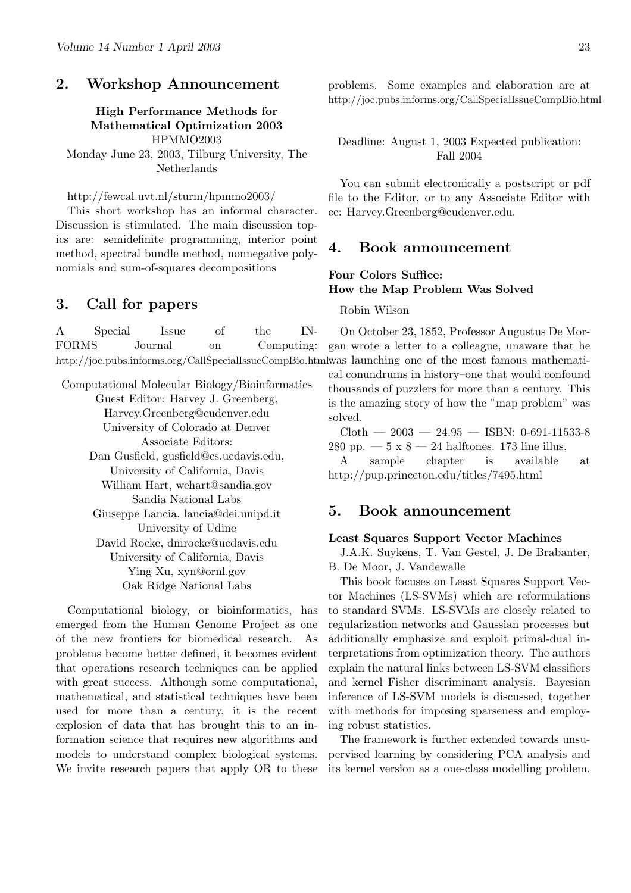### 2. Workshop Announcement

#### High Performance Methods for Mathematical Optimization 2003 HPMMO2003

Monday June 23, 2003, Tilburg University, The Netherlands

#### http://fewcal.uvt.nl/sturm/hpmmo2003/

This short workshop has an informal character. Discussion is stimulated. The main discussion topics are: semidefinite programming, interior point method, spectral bundle method, nonnegative polynomials and sum-of-squares decompositions

### 3. Call for papers

A Special Issue of the IN-FORMS Journal on Computing: http://joc.pubs.informs.org/CallSpecialIssueCompBio.html was launching one of the most famous mathemati-On October 23, 1852, Professor Augustus De Mor-

Computational Molecular Biology/Bioinformatics Guest Editor: Harvey J. Greenberg, Harvey.Greenberg@cudenver.edu University of Colorado at Denver Associate Editors: Dan Gusfield, gusfield@cs.ucdavis.edu, University of California, Davis William Hart, wehart@sandia.gov Sandia National Labs Giuseppe Lancia, lancia@dei.unipd.it University of Udine David Rocke, dmrocke@ucdavis.edu University of California, Davis Ying Xu, xyn@ornl.gov Oak Ridge National Labs

Computational biology, or bioinformatics, has emerged from the Human Genome Project as one of the new frontiers for biomedical research. As problems become better defined, it becomes evident that operations research techniques can be applied with great success. Although some computational, mathematical, and statistical techniques have been used for more than a century, it is the recent explosion of data that has brought this to an information science that requires new algorithms and models to understand complex biological systems. We invite research papers that apply OR to these

problems. Some examples and elaboration are at http://joc.pubs.informs.org/CallSpecialIssueCompBio.html

Deadline: August 1, 2003 Expected publication: Fall 2004

You can submit electronically a postscript or pdf file to the Editor, or to any Associate Editor with cc: Harvey.Greenberg@cudenver.edu.

### 4. Book announcement

### Four Colors Suffice: How the Map Problem Was Solved

Robin Wilson

gan wrote a letter to a colleague, unaware that he

cal conundrums in history–one that would confound thousands of puzzlers for more than a century. This is the amazing story of how the "map problem" was solved.

 $\text{Cloth} = 2003 = 24.95 = \text{ISBN: } 0.691 - 11533 - 8$ 280 pp.  $-5 \times 8 - 24$  halftones. 173 line illus.

A sample chapter is available at http://pup.princeton.edu/titles/7495.html

### 5. Book announcement

#### Least Squares Support Vector Machines

J.A.K. Suykens, T. Van Gestel, J. De Brabanter, B. De Moor, J. Vandewalle

This book focuses on Least Squares Support Vector Machines (LS-SVMs) which are reformulations to standard SVMs. LS-SVMs are closely related to regularization networks and Gaussian processes but additionally emphasize and exploit primal-dual interpretations from optimization theory. The authors explain the natural links between LS-SVM classifiers and kernel Fisher discriminant analysis. Bayesian inference of LS-SVM models is discussed, together with methods for imposing sparseness and employing robust statistics.

The framework is further extended towards unsupervised learning by considering PCA analysis and its kernel version as a one-class modelling problem.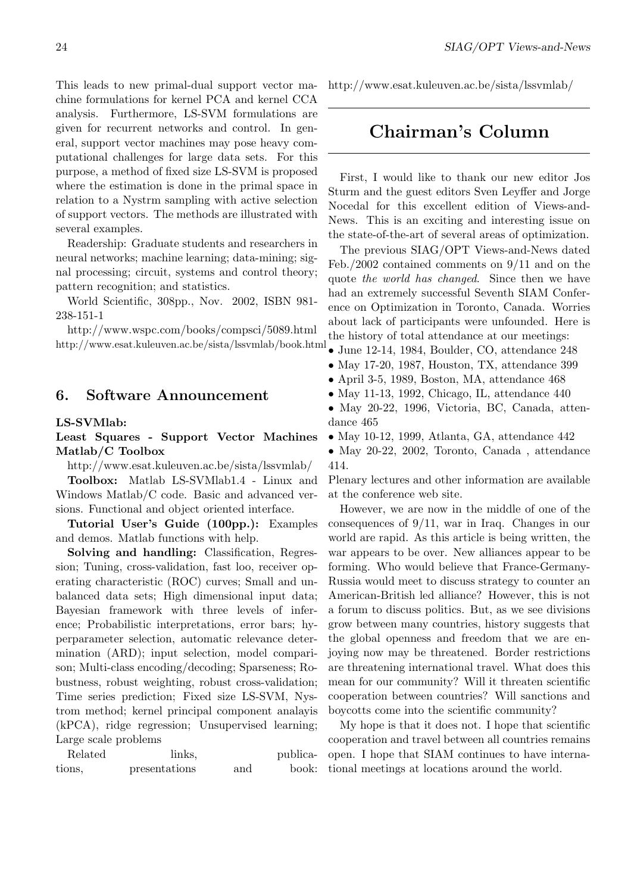This leads to new primal-dual support vector machine formulations for kernel PCA and kernel CCA analysis. Furthermore, LS-SVM formulations are given for recurrent networks and control. In general, support vector machines may pose heavy computational challenges for large data sets. For this purpose, a method of fixed size LS-SVM is proposed where the estimation is done in the primal space in relation to a Nystrm sampling with active selection of support vectors. The methods are illustrated with several examples.

Readership: Graduate students and researchers in neural networks; machine learning; data-mining; signal processing; circuit, systems and control theory; pattern recognition; and statistics.

World Scientific, 308pp., Nov. 2002, ISBN 981- 238-151-1

http://www.wspc.com/books/compsci/5089.html http://www.esat.kuleuven.ac.be/sista/lssvmlab/book.html

#### 6. Software Announcement

#### LS-SVMlab:

#### Least Squares - Support Vector Machines Matlab/C Toolbox

http://www.esat.kuleuven.ac.be/sista/lssvmlab/

Toolbox: Matlab LS-SVMlab1.4 - Linux and Windows Matlab/C code. Basic and advanced versions. Functional and object oriented interface.

Tutorial User's Guide (100pp.): Examples and demos. Matlab functions with help.

Solving and handling: Classification, Regression; Tuning, cross-validation, fast loo, receiver operating characteristic (ROC) curves; Small and unbalanced data sets; High dimensional input data; Bayesian framework with three levels of inference; Probabilistic interpretations, error bars; hyperparameter selection, automatic relevance determination (ARD); input selection, model comparison; Multi-class encoding/decoding; Sparseness; Robustness, robust weighting, robust cross-validation; Time series prediction; Fixed size LS-SVM, Nystrom method; kernel principal component analayis (kPCA), ridge regression; Unsupervised learning; Large scale problems

Related links, publications, presentations and book: http://www.esat.kuleuven.ac.be/sista/lssvmlab/

# Chairman's Column

First, I would like to thank our new editor Jos Sturm and the guest editors Sven Leyffer and Jorge Nocedal for this excellent edition of Views-and-News. This is an exciting and interesting issue on the state-of-the-art of several areas of optimization.

The previous SIAG/OPT Views-and-News dated Feb./2002 contained comments on 9/11 and on the quote the world has changed. Since then we have had an extremely successful Seventh SIAM Conference on Optimization in Toronto, Canada. Worries about lack of participants were unfounded. Here is the history of total attendance at our meetings:

- June 12-14, 1984, Boulder, CO, attendance 248
- May 17-20, 1987, Houston, TX, attendance 399
- April 3-5, 1989, Boston, MA, attendance 468
- May 11-13, 1992, Chicago, IL, attendance 440
- May 20-22, 1996, Victoria, BC, Canada, attendance 465
- May 10-12, 1999, Atlanta, GA, attendance 442
- May 20-22, 2002, Toronto, Canada , attendance 414.

Plenary lectures and other information are available at the conference web site.

However, we are now in the middle of one of the consequences of 9/11, war in Iraq. Changes in our world are rapid. As this article is being written, the war appears to be over. New alliances appear to be forming. Who would believe that France-Germany-Russia would meet to discuss strategy to counter an American-British led alliance? However, this is not a forum to discuss politics. But, as we see divisions grow between many countries, history suggests that the global openness and freedom that we are enjoying now may be threatened. Border restrictions are threatening international travel. What does this mean for our community? Will it threaten scientific cooperation between countries? Will sanctions and boycotts come into the scientific community?

My hope is that it does not. I hope that scientific cooperation and travel between all countries remains open. I hope that SIAM continues to have international meetings at locations around the world.